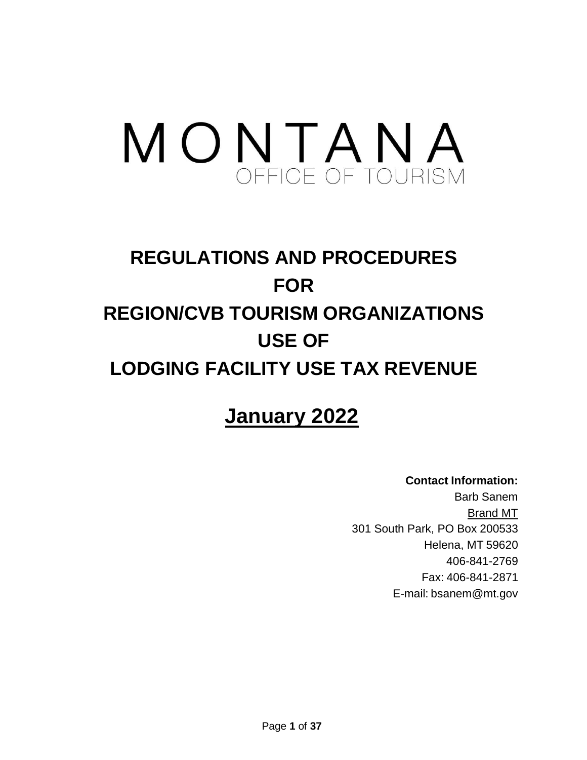# MONTANA

# **REGULATIONS AND PROCEDURES FOR REGION/CVB TOURISM ORGANIZATIONS USE OF LODGING FACILITY USE TAX REVENUE**

# **January 2022**

**Contact Information:** Barb Sanem Brand MT 301 South Park, PO Box 200533 Helena, MT 59620 406-841-2769 Fax: 406-841-2871 E-mail: [bsanem@mt.gov](mailto:bsanem@mt.gov)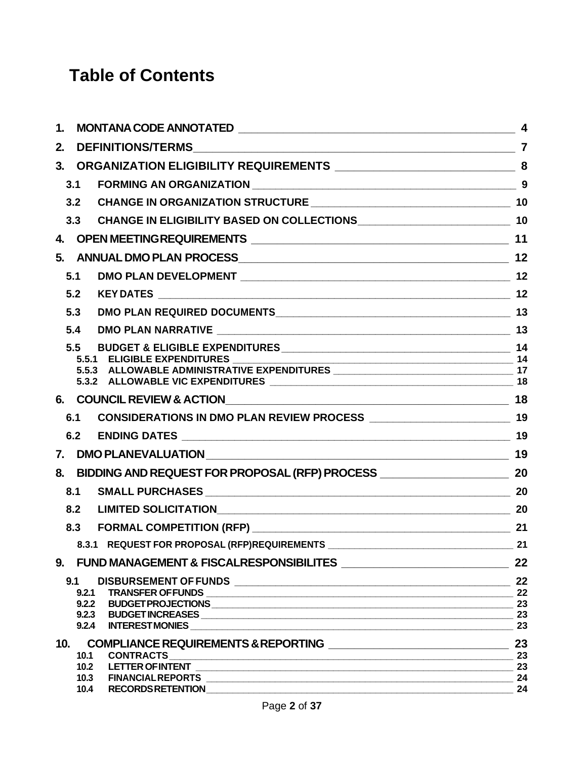# **Table of Contents**

| 1.             |       | $\boldsymbol{4}$                                                                     |          |  |  |
|----------------|-------|--------------------------------------------------------------------------------------|----------|--|--|
| 2.             |       |                                                                                      |          |  |  |
| 3 <sub>1</sub> |       |                                                                                      |          |  |  |
|                | 3.1   | FORMING AN ORGANIZATION 3                                                            |          |  |  |
|                | 3.2   |                                                                                      |          |  |  |
|                | 3.3   |                                                                                      |          |  |  |
|                |       |                                                                                      |          |  |  |
|                |       |                                                                                      |          |  |  |
| 5.             |       |                                                                                      | 12       |  |  |
|                | 5.1   |                                                                                      |          |  |  |
|                | 5.2   |                                                                                      |          |  |  |
|                | 5.3   |                                                                                      |          |  |  |
|                | 5.4   |                                                                                      |          |  |  |
|                | 5.5   |                                                                                      |          |  |  |
|                |       | 5.5.1 ELIGIBLE EXPENDITURES __________________                                       |          |  |  |
|                |       |                                                                                      |          |  |  |
|                |       |                                                                                      |          |  |  |
|                |       |                                                                                      |          |  |  |
|                | 6.1   |                                                                                      |          |  |  |
|                | 6.2   |                                                                                      |          |  |  |
| 7.             |       |                                                                                      |          |  |  |
| 8.             |       | BIDDING AND REQUEST FOR PROPOSAL (RFP) PROCESS __________________________________ 20 |          |  |  |
|                | 8.1   |                                                                                      |          |  |  |
|                | 8.2   |                                                                                      |          |  |  |
|                | 8.3   |                                                                                      | 21       |  |  |
|                |       | 8.3.1 REQUEST FOR PROPOSAL (RFP)REQUIREMENTS ___________________________________     | 21       |  |  |
|                |       | 9. FUND MANAGEMENT & FISCALRESPONSIBILITES ______________________________            | 22       |  |  |
|                | 9.1   |                                                                                      | 22       |  |  |
|                |       |                                                                                      |          |  |  |
|                |       |                                                                                      |          |  |  |
|                | 9.2.4 |                                                                                      | 23<br>23 |  |  |
|                |       | 10. COMPLIANCE REQUIREMENTS & REPORTING __________________________________           | 23       |  |  |
|                | 10.1  | <b>CONTRACTS</b>                                                                     | 23       |  |  |
|                |       | 10.2 LETTER OF INTENT <b>A PERIODIC CONTROL</b>                                      | 23       |  |  |
|                |       |                                                                                      | 24       |  |  |
|                |       |                                                                                      | 24       |  |  |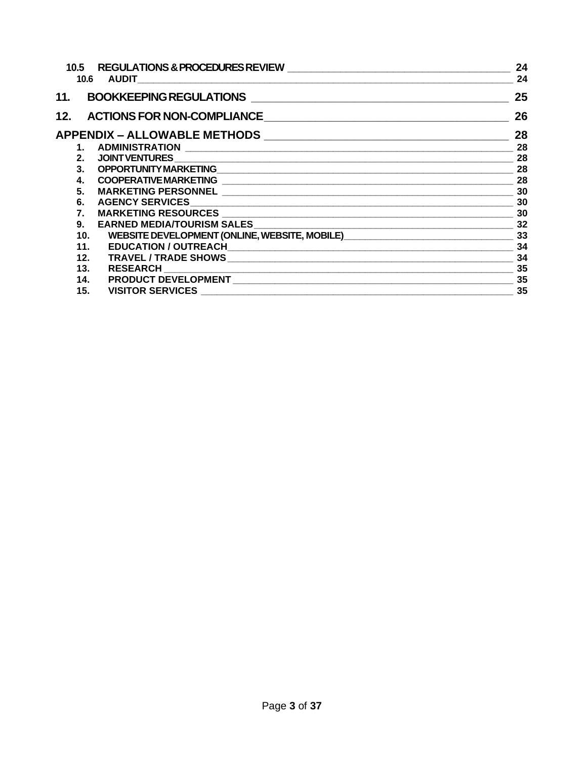| 10.5    | <b>REGULATIONS &amp; PROCEDURES REVIEW</b><br>10.6 AUDIT | 24<br>24 |
|---------|----------------------------------------------------------|----------|
|         | 11. BOOKKEEPING REGULATIONS                              | 25       |
|         | 12. ACTIONS FOR NON-COMPLIANCE                           | 26       |
|         |                                                          | 28       |
|         |                                                          | 28       |
| 2.      |                                                          | 28       |
| $3_{-}$ |                                                          | 28       |
| 4.      |                                                          | 28       |
| 5.      |                                                          |          |
| 6.      |                                                          | 30       |
| 7.      |                                                          |          |
| 9.      |                                                          |          |
| 10.     |                                                          |          |
| 11.     |                                                          | 34       |
|         | 12.                                                      | 34       |
| 13.     | <b>RESEARCH</b>                                          | 35       |
| 14.     |                                                          | 35       |
| 15.     | <b>VISITOR SERVICES</b>                                  | 35       |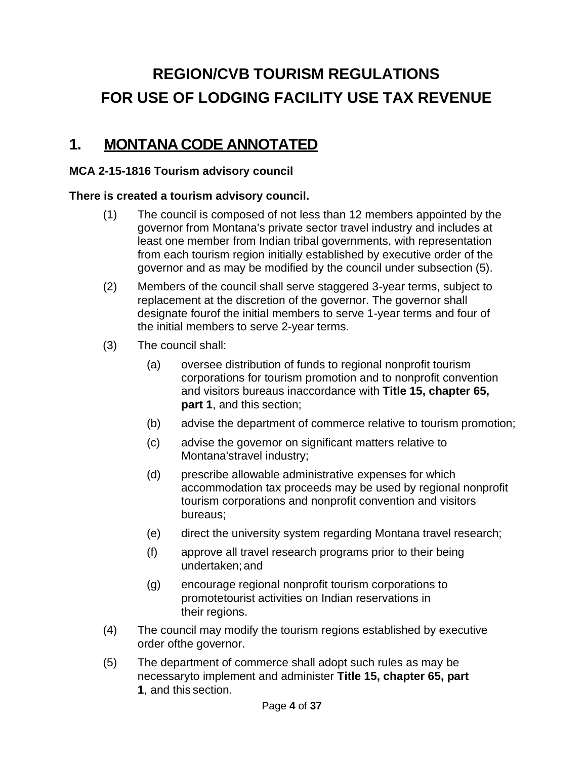# **REGION/CVB TOURISM REGULATIONS FOR USE OF LODGING FACILITY USE TAX REVENUE**

# <span id="page-3-0"></span>**1. MONTANA CODE ANNOTATED**

### **MCA 2-15-1816 Tourism advisory council**

### **There is created a tourism advisory council.**

- (1) The council is composed of not less than 12 members appointed by the governor from Montana's private sector travel industry and includes at least one member from Indian tribal governments, with representation from each tourism region initially established by executive order of the governor and as may be modified by the council under subsection (5).
- (2) Members of the council shall serve staggered 3-year terms, subject to replacement at the discretion of the governor. The governor shall designate fourof the initial members to serve 1-year terms and four of the initial members to serve 2-year terms.
- (3) The council shall:
	- (a) oversee distribution of funds to regional nonprofit tourism corporations for tourism promotion and to nonprofit convention and visitors bureaus inaccordance with **Title 15, chapter 65, part 1**, and this section;
	- (b) advise the department of commerce relative to tourism promotion;
	- (c) advise the governor on significant matters relative to Montana'stravel industry;
	- (d) prescribe allowable administrative expenses for which accommodation tax proceeds may be used by regional nonprofit tourism corporations and nonprofit convention and visitors bureaus;
	- (e) direct the university system regarding Montana travel research;
	- (f) approve all travel research programs prior to their being undertaken; and
	- (g) encourage regional nonprofit tourism corporations to promotetourist activities on Indian reservations in their regions.
- (4) The council may modify the tourism regions established by executive order ofthe governor.
- (5) The department of commerce shall adopt such rules as may be necessaryto implement and administer **Title 15, chapter 65, part 1**, and this section.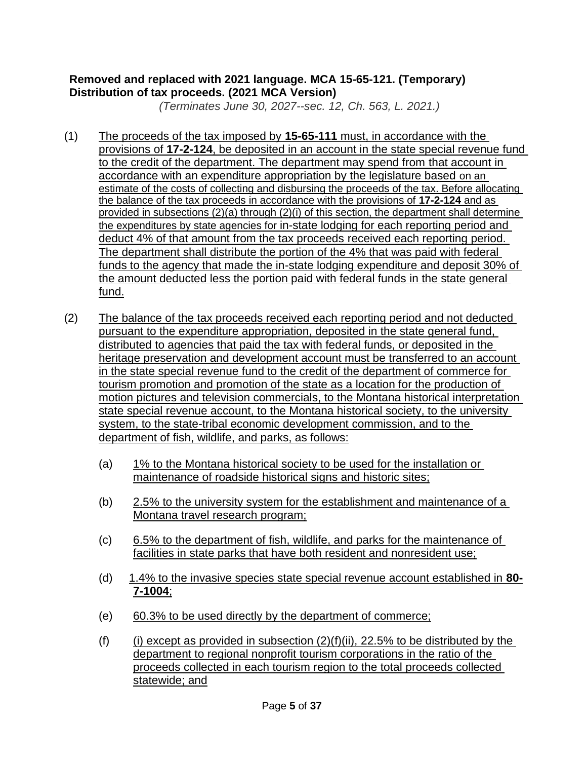### **Removed and replaced with 2021 language. MCA 15-65-121. (Temporary) Distribution of tax proceeds. (2021 MCA Version)**

*(Terminates June 30, 2027--sec. 12, Ch. 563, L. 2021.)*

- (1) The proceeds of the tax imposed by **15-65-111** must, in accordance with the provisions of **17-2-124**, be deposited in an account in the state special revenue fund to the credit of the department. The department may spend from that account in accordance with an expenditure appropriation by the legislature based on an estimate of the costs of collecting and disbursing the proceeds of the tax. Before allocating the balance of the tax proceeds in accordance with the provisions of **17-2-124** and as provided in subsections (2)(a) through (2)(i) of this section, the department shall determine the expenditures by state agencies for in-state lodging for each reporting period and deduct 4% of that amount from the tax proceeds received each reporting period. The department shall distribute the portion of the 4% that was paid with federal funds to the agency that made the in-state lodging expenditure and deposit 30% of the amount deducted less the portion paid with federal funds in the state general fund.
- (2) The balance of the tax proceeds received each reporting period and not deducted pursuant to the expenditure appropriation, deposited in the state general fund, distributed to agencies that paid the tax with federal funds, or deposited in the heritage preservation and development account must be transferred to an account in the state special revenue fund to the credit of the department of commerce for tourism promotion and promotion of the state as a location for the production of motion pictures and television commercials, to the Montana historical interpretation state special revenue account, to the Montana historical society, to the university system, to the state-tribal economic development commission, and to the department of fish, wildlife, and parks, as follows:
	- (a) 1% to the Montana historical society to be used for the installation or maintenance of roadside historical signs and historic sites;
	- (b) 2.5% to the university system for the establishment and maintenance of a Montana travel research program;
	- (c) 6.5% to the department of fish, wildlife, and parks for the maintenance of facilities in state parks that have both resident and nonresident use;
	- (d) 1.4% to the invasive species state special revenue account established in **80- 7-1004**;
	- (e) 60.3% to be used directly by the department of commerce;
	- (f) (i) except as provided in subsection  $(2)(f)(ii)$ , 22.5% to be distributed by the department to regional nonprofit tourism corporations in the ratio of the proceeds collected in each tourism region to the total proceeds collected statewide; and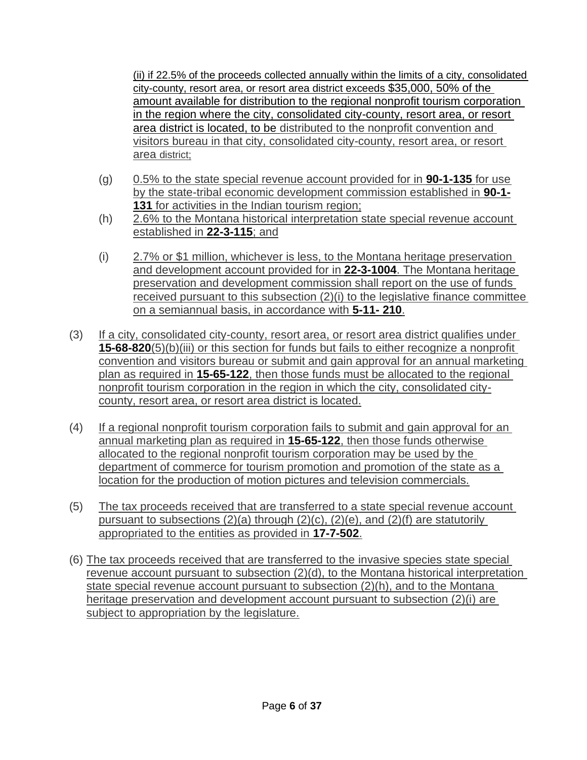(ii) if 22.5% of the proceeds collected annually within the limits of a city, consolidated city-county, resort area, or resort area district exceeds \$35,000, 50% of the amount available for distribution to the regional nonprofit tourism corporation in the region where the city, consolidated city-county, resort area, or resort area district is located, to be distributed to the nonprofit convention and visitors bureau in that city, consolidated city-county, resort area, or resort area district;

- (g) 0.5% to the state special revenue account provided for in **90-1-135** for use by the state-tribal economic development commission established in **90-1- 131** for activities in the Indian tourism region;
- (h) 2.6% to the Montana historical interpretation state special revenue account established in **22-3-115**; and
- (i) 2.7% or \$1 million, whichever is less, to the Montana heritage preservation and development account provided for in **22-3-1004**. The Montana heritage preservation and development commission shall report on the use of funds received pursuant to this subsection (2)(i) to the legislative finance committee on a semiannual basis, in accordance with **5-11- 210**.
- (3) If a city, consolidated city-county, resort area, or resort area district qualifies under **15-68-820**(5)(b)(iii) or this section for funds but fails to either recognize a nonprofit convention and visitors bureau or submit and gain approval for an annual marketing plan as required in **15-65-122**, then those funds must be allocated to the regional nonprofit tourism corporation in the region in which the city, consolidated citycounty, resort area, or resort area district is located.
- (4) If a regional nonprofit tourism corporation fails to submit and gain approval for an annual marketing plan as required in **15-65-122**, then those funds otherwise allocated to the regional nonprofit tourism corporation may be used by the department of commerce for tourism promotion and promotion of the state as a location for the production of motion pictures and television commercials.
- (5) The tax proceeds received that are transferred to a state special revenue account pursuant to subsections  $(2)(a)$  through  $(2)(c)$ ,  $(2)(e)$ , and  $(2)(f)$  are statutorily appropriated to the entities as provided in **17-7-502**.
- (6) The tax proceeds received that are transferred to the invasive species state special revenue account pursuant to subsection (2)(d), to the Montana historical interpretation state special revenue account pursuant to subsection (2)(h), and to the Montana heritage preservation and development account pursuant to subsection (2)(i) are subject to appropriation by the legislature.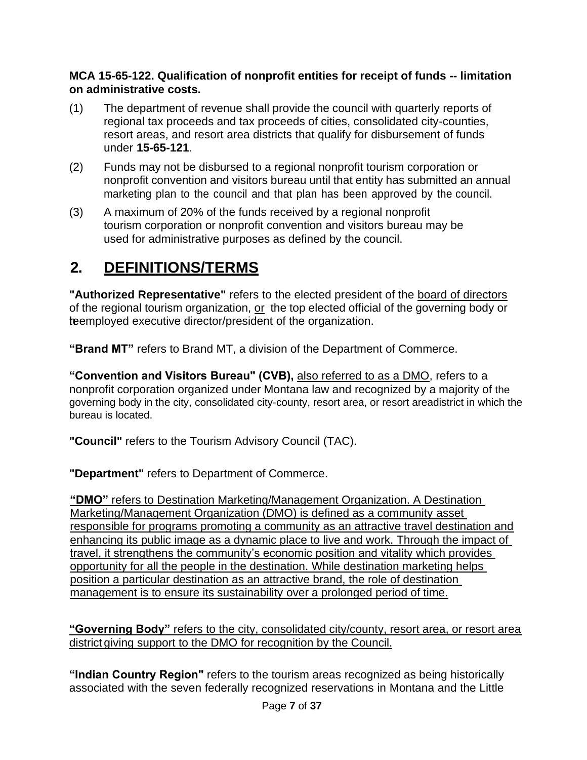### **MCA 15-65-122. Qualification of nonprofit entities for receipt of funds -- limitation on administrative costs.**

- (1) The department of revenue shall provide the council with quarterly reports of regional tax proceeds and tax proceeds of cities, consolidated city-counties, resort areas, and resort area districts that qualify for disbursement of funds under **15-65-121**.
- (2) Funds may not be disbursed to a regional nonprofit tourism corporation or nonprofit convention and visitors bureau until that entity has submitted an annual marketing plan to the council and that plan has been approved by the council.
- (3) A maximum of 20% of the funds received by a regional nonprofit tourism corporation or nonprofit convention and visitors bureau may be used for administrative purposes as defined by the council.

# <span id="page-6-0"></span>**2. DEFINITIONS/TERMS**

**"Authorized Representative"** refers to the elected president of the board of directors of the regional tourism organization, or the top elected official of the governing body or teemployed executive director/president of the organization.

**"Brand MT"** refers to Brand MT, a division of the Department of Commerce.

**"Convention and Visitors Bureau" (CVB),** also referred to as a DMO, refers to a nonprofit corporation organized under Montana law and recognized by a majority of the governing body in the city, consolidated city-county, resort area, or resort areadistrict in which the bureau is located.

**"Council"** refers to the Tourism Advisory Council (TAC).

**"Department"** refers to Department of Commerce.

**"DMO"** refers to Destination Marketing/Management Organization. A Destination Marketing/Management Organization (DMO) is defined as a community asset responsible for programs promoting a community as an attractive travel destination and enhancing its public image as a dynamic place to live and work. Through the impact of travel, it strengthens the community's economic position and vitality which provides opportunity for all the people in the destination. While destination marketing helps position a particular destination as an attractive brand, the role of destination management is to ensure its sustainability over a prolonged period of time.

**"Governing Body"** refers to the city, consolidated city/county, resort area, or resort area district giving support to the DMO for recognition by the Council.

**"Indian Country Region"** refers to the tourism areas recognized as being historically associated with the seven federally recognized reservations in Montana and the Little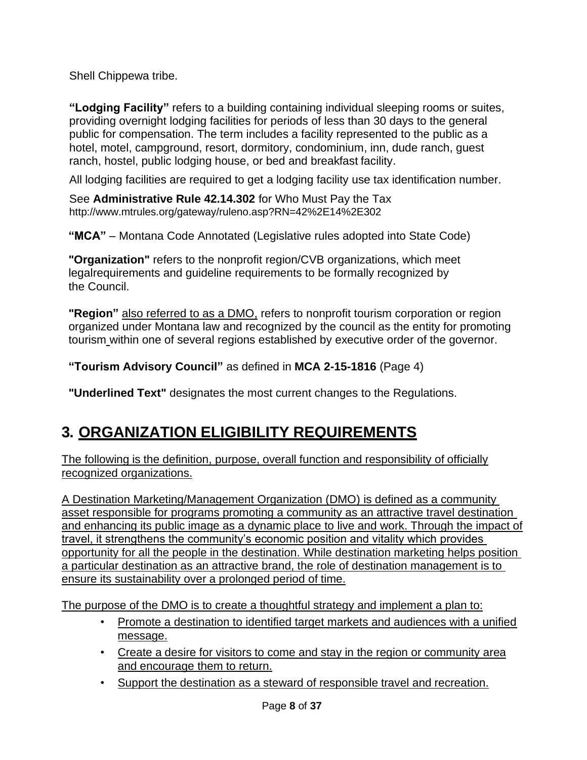Shell Chippewa tribe.

**"Lodging Facility"** refers to a building containing individual sleeping rooms or suites, providing overnight lodging facilities for periods of less than 30 days to the general public for compensation. The term includes a facility represented to the public as a hotel, motel, campground, resort, dormitory, condominium, inn, dude ranch, guest ranch, hostel, public lodging house, or bed and breakfast facility.

All lodging facilities are required to get a lodging facility use tax identification number.

See **Administrative Rule 42.14.302** for Who Must Pay the Tax <http://www.mtrules.org/gateway/ruleno.asp?RN=42%2E14%2E302>

**"MCA"** – Montana Code Annotated (Legislative rules adopted into State Code)

**"Organization"** refers to the nonprofit region/CVB organizations, which meet legalrequirements and guideline requirements to be formally recognized by the Council.

**"Region"** also referred to as a DMO, refers to nonprofit tourism corporation or region organized under Montana law and recognized by the council as the entity for promoting tourism within one of several regions established by executive order of the governor.

**"Tourism Advisory Council"** as defined in **MCA 2-15-1816** (Page 4)

**"Underlined Text"** designates the most current changes to the Regulations.

# <span id="page-7-0"></span>**3. ORGANIZATION ELIGIBILITY REQUIREMENTS**

The following is the definition, purpose, overall function and responsibility of officially recognized organizations.

A Destination Marketing/Management Organization (DMO) is defined as a community asset responsible for programs promoting a community as an attractive travel destination and enhancing its public image as a dynamic place to live and work. Through the impact of travel, it strengthens the community's economic position and vitality which provides opportunity for all the people in the destination. While destination marketing helps position a particular destination as an attractive brand, the role of destination management is to ensure its sustainability over a prolonged period of time.

The purpose of the DMO is to create a thoughtful strategy and implement a plan to:

- Promote a destination to identified target markets and audiences with a unified message.
- Create a desire for visitors to come and stay in the region or community area and encourage them to return.
- Support the destination as a steward of responsible travel and recreation.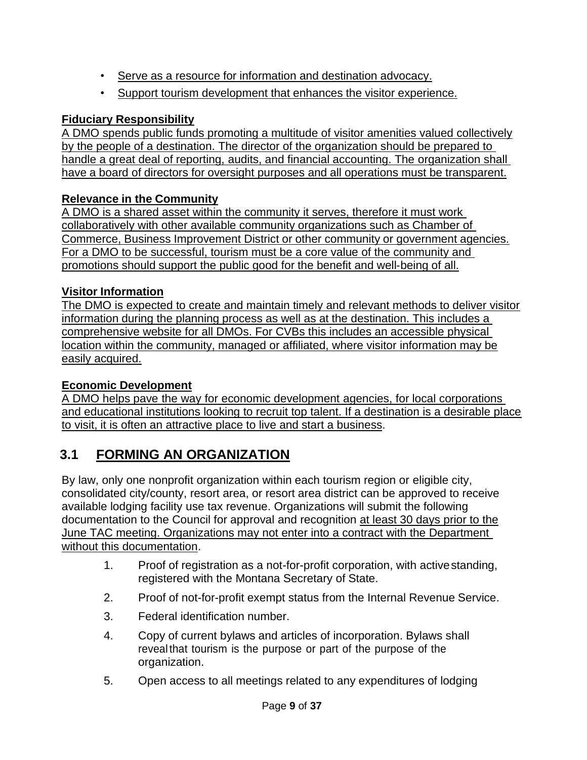- Serve as a resource for information and destination advocacy.
- Support tourism development that enhances the visitor experience.

### **Fiduciary Responsibility**

A DMO spends public funds promoting a multitude of visitor amenities valued collectively by the people of a destination. The director of the organization should be prepared to handle a great deal of reporting, audits, and financial accounting. The organization shall have a board of directors for oversight purposes and all operations must be transparent.

### **Relevance in the Community**

A DMO is a shared asset within the community it serves, therefore it must work collaboratively with other available community organizations such as Chamber of Commerce, Business Improvement District or other community or government agencies. For a DMO to be successful, tourism must be a core value of the community and promotions should support the public good for the benefit and well-being of all.

### **Visitor Information**

The DMO is expected to create and maintain timely and relevant methods to deliver visitor information during the planning process as well as at the destination. This includes a comprehensive website for all DMOs. For CVBs this includes an accessible physical location within the community, managed or affiliated, where visitor information may be easily acquired.

### **Economic Development**

A DMO helps pave the way for economic development agencies, for local corporations and educational institutions looking to recruit top talent. If a destination is a desirable place to visit, it is often an attractive place to live and start a business.

# <span id="page-8-0"></span>**3.1 FORMING AN ORGANIZATION**

By law, only one nonprofit organization within each tourism region or eligible city, consolidated city/county, resort area, or resort area district can be approved to receive available lodging facility use tax revenue. Organizations will submit the following documentation to the Council for approval and recognition at least 30 days prior to the June TAC meeting. Organizations may not enter into a contract with the Department without this documentation.

- 1. Proof of registration as a not-for-profit corporation, with activestanding, registered with the Montana Secretary of State.
- 2. Proof of not-for-profit exempt status from the Internal Revenue Service.
- 3. Federal identification number.
- 4. Copy of current bylaws and articles of incorporation. Bylaws shall reveal that tourism is the purpose or part of the purpose of the organization.
- 5. Open access to all meetings related to any expenditures of lodging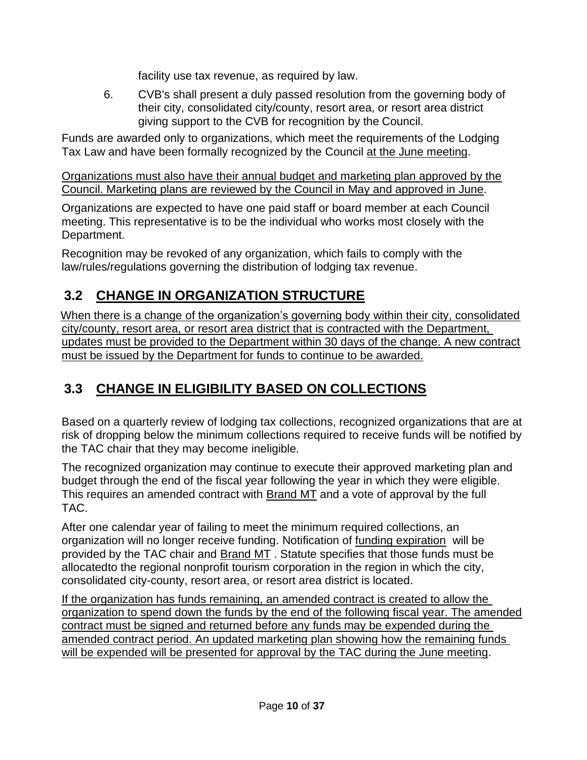facility use tax revenue, as required by law.

6. CVB's shall present a duly passed resolution from the governing body of their city, consolidated city/county, resort area, or resort area district giving support to the CVB for recognition by the Council.

Funds are awarded only to organizations, which meet the requirements of the Lodging Tax Law and have been formally recognized by the Council at the June meeting.

Organizations must also have their annual budget and marketing plan approved by the Council. Marketing plans are reviewed by the Council in May and approved in June.

Organizations are expected to have one paid staff or board member at each Council meeting. This representative is to be the individual who works most closely with the Department.

Recognition may be revoked of any organization, which fails to comply with the law/rules/regulations governing the distribution of lodging tax revenue.

## <span id="page-9-0"></span>**3.2 CHANGE IN ORGANIZATION STRUCTURE**

When there is a change of the organization's governing body within their city, consolidated city/county, resort area, or resort area district that is contracted with the Department, updates must be provided to the Department within 30 days of the change. A new contract must be issued by the Department for funds to continue to be awarded.

# <span id="page-9-1"></span>**3.3 CHANGE IN ELIGIBILITY BASED ON COLLECTIONS**

Based on a quarterly review of lodging tax collections, recognized organizations that are at risk of dropping below the minimum collections required to receive funds will be notified by the TAC chair that they may become ineligible.

The recognized organization may continue to execute their approved marketing plan and budget through the end of the fiscal year following the year in which they were eligible. This requires an amended contract with Brand MT and a vote of approval by the full TAC.

After one calendar year of failing to meet the minimum required collections, an organization will no longer receive funding. Notification of funding expiration will be provided by the TAC chair and **Brand MT**. Statute specifies that those funds must be allocatedto the regional nonprofit tourism corporation in the region in which the city, consolidated city-county, resort area, or resort area district is located.

If the organization has funds remaining, an amended contract is created to allow the organization to spend down the funds by the end of the following fiscal year. The amended contract must be signed and returned before any funds may be expended during the amended contract period. An updated marketing plan showing how the remaining funds will be expended will be presented for approval by the TAC during the June meeting.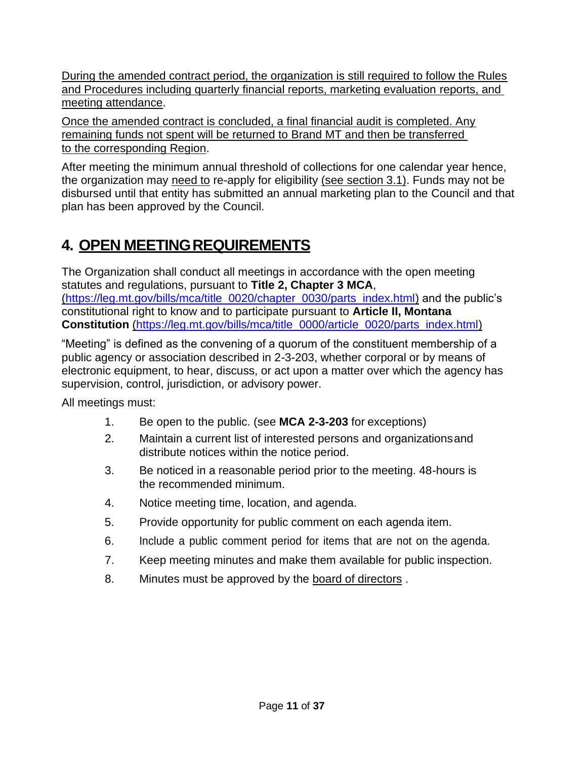During the amended contract period, the organization is still required to follow the Rules and Procedures including quarterly financial reports, marketing evaluation reports, and meeting attendance.

Once the amended contract is concluded, a final financial audit is completed. Any remaining funds not spent will be returned to Brand MT and then be transferred to the corresponding Region.

After meeting the minimum annual threshold of collections for one calendar year hence, the organization may need to re-apply for eligibility (see section 3.1). Funds may not be disbursed until that entity has submitted an annual marketing plan to the Council and that plan has been approved by the Council.

# <span id="page-10-0"></span>**4. OPEN MEETINGREQUIREMENTS**

The Organization shall conduct all meetings in accordance with the open meeting statutes and regulations, pursuant to **Title 2, Chapter 3 MCA**, (https://leg.mt.gov/bills/mca/title\_0020/chapter\_0030/parts\_index.html) and the public's constitutional right to know and to participate pursuant to **Article II, Montana Constitution** (https://leg.mt.gov/bills/mca/title\_0000/article\_0020/parts\_index.html)

"Meeting" is defined as the convening of a quorum of the constituent membership of a public agency or association described in 2-3-203, whether corporal or by means of electronic equipment, to hear, discuss, or act upon a matter over which the agency has supervision, control, jurisdiction, or advisory power.

All meetings must:

- 1. Be open to the public. (see **MCA 2-3-203** for exceptions)
- 2. Maintain a current list of interested persons and organizationsand distribute notices within the notice period.
- 3. Be noticed in a reasonable period prior to the meeting. 48-hours is the recommended minimum.
- 4. Notice meeting time, location, and agenda.
- 5. Provide opportunity for public comment on each agenda item.
- 6. Include a public comment period for items that are not on the agenda.
- 7. Keep meeting minutes and make them available for public inspection.
- 8. Minutes must be approved by the board of directors.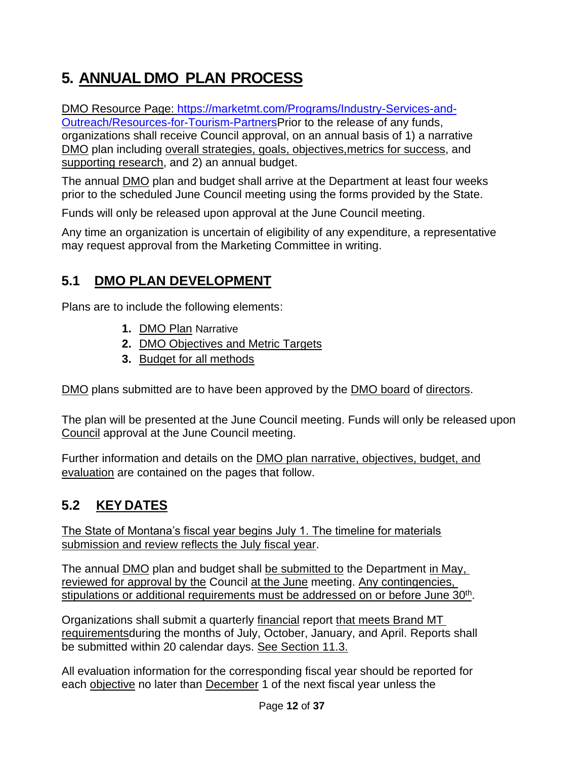# <span id="page-11-0"></span>**5. ANNUAL DMO PLAN PROCESS**

DMO Resource Page: [https://marketmt.com/Programs/Industry-Services-and-](https://marketmt.com/Programs/Industry-Services-and-Outreach/Resources-for-Tourism-Partners)[Outreach/Resources-for-Tourism-PartnersP](https://marketmt.com/Programs/Industry-Services-and-Outreach/Resources-for-Tourism-Partners)rior to the release of any funds, organizations shall receive Council approval, on an annual basis of 1) a narrative DMO plan including overall strategies, goals, objectives,metrics for success, and supporting research, and 2) an annual budget.

The annual DMO plan and budget shall arrive at the Department at least four weeks prior to the scheduled June Council meeting using the forms provided by the State.

Funds will only be released upon approval at the June Council meeting.

Any time an organization is uncertain of eligibility of any expenditure, a representative may request approval from the Marketing Committee in writing.

# <span id="page-11-1"></span>**5.1 DMO PLAN DEVELOPMENT**

Plans are to include the following elements:

- **1.** DMO Plan Narrative
- **2.** DMO Objectives and Metric Targets
- **3.** Budget for all methods

DMO plans submitted are to have been approved by the DMO board of directors.

The plan will be presented at the June Council meeting. Funds will only be released upon Council approval at the June Council meeting.

Further information and details on the DMO plan narrative, objectives, budget, and evaluation are contained on the pages that follow.

# <span id="page-11-2"></span>**5.2 KEY DATES**

The State of Montana's fiscal year begins July 1. The timeline for materials submission and review reflects the July fiscal year.

The annual DMO plan and budget shall be submitted to the Department in May, reviewed for approval by the Council at the June meeting. Any contingencies, stipulations or additional requirements must be addressed on or before June 30<sup>th</sup>.

Organizations shall submit a quarterly financial report that meets Brand MT requirementsduring the months of July, October, January, and April. Reports shall be submitted within 20 calendar days. See Section 11.3.

All evaluation information for the corresponding fiscal year should be reported for each objective no later than December 1 of the next fiscal year unless the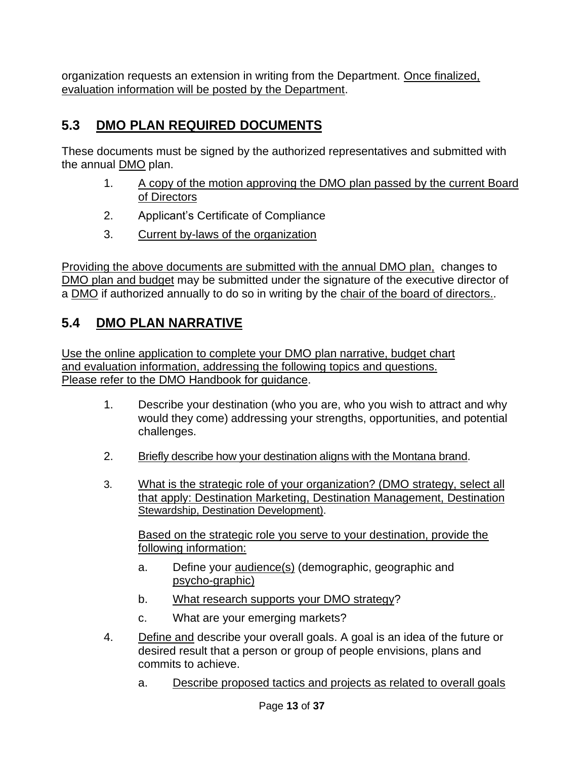organization requests an extension in writing from the Department. Once finalized, evaluation information will be posted by the Department.

# <span id="page-12-0"></span>**5.3 DMO PLAN REQUIRED DOCUMENTS**

These documents must be signed by the authorized representatives and submitted with the annual DMO plan.

- 1. A copy of the motion approving the DMO plan passed by the current Board of Directors
- 2. Applicant's Certificate of Compliance
- 3. Current by-laws of the organization

Providing the above documents are submitted with the annual DMO plan, changes to DMO plan and budget may be submitted under the signature of the executive director of a DMO if authorized annually to do so in writing by the chair of the board of directors..

# <span id="page-12-1"></span>**5.4 DMO PLAN NARRATIVE**

Use the online application to complete your DMO plan narrative, budget chart and evaluation information, addressing the following topics and questions. Please refer to the DMO Handbook for guidance.

- 1. Describe your destination (who you are, who you wish to attract and why would they come) addressing your strengths, opportunities, and potential challenges.
- 2. Briefly describe how your destination aligns with the Montana brand.
- 3. What is the strategic role of your organization? (DMO strategy, select all that apply: Destination Marketing, Destination Management, Destination Stewardship, Destination Development).

Based on the strategic role you serve to your destination, provide the following information:

- a. Define your audience(s) (demographic, geographic and psycho-graphic)
- b. What research supports your DMO strategy?
- c. What are your emerging markets?
- 4. Define and describe your overall goals. A goal is an idea of the future or desired result that a person or group of people envisions, plans and commits to achieve.
	- a. Describe proposed tactics and projects as related to overall goals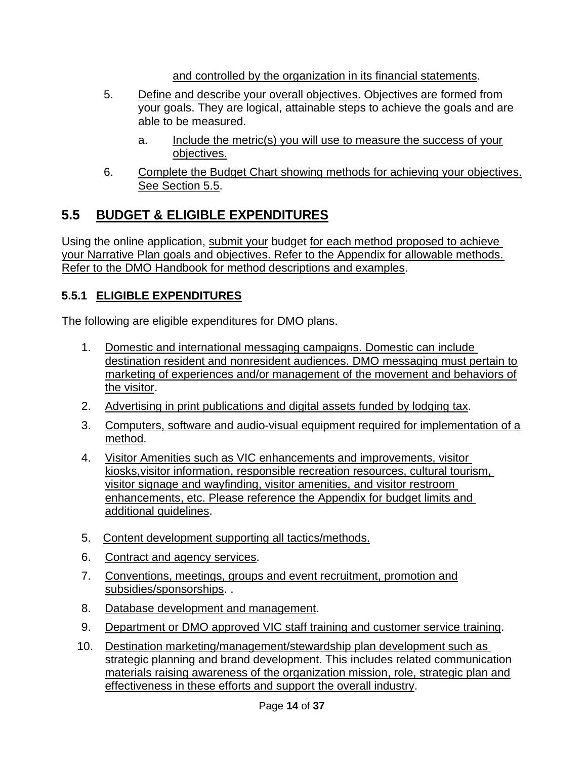and controlled by the organization in its financial statements.

- 5. Define and describe your overall objectives. Objectives are formed from your goals. They are logical, attainable steps to achieve the goals and are able to be measured.
	- a. Include the metric(s) you will use to measure the success of your objectives.
- 6. Complete the Budget Chart showing methods for achieving your objectives. See Section 5.5.

# <span id="page-13-0"></span>**5.5 BUDGET & ELIGIBLE EXPENDITURES**

Using the online application, submit your budget for each method proposed to achieve your Narrative Plan goals and objectives. Refer to the Appendix for allowable methods. Refer to the DMO Handbook for method descriptions and examples.

### <span id="page-13-1"></span>**5.5.1 ELIGIBLE EXPENDITURES**

The following are eligible expenditures for DMO plans.

- 1. Domestic and international messaging campaigns. Domestic can include destination resident and nonresident audiences. DMO messaging must pertain to marketing of experiences and/or management of the movement and behaviors of the visitor.
- 2. Advertising in print publications and digital assets funded by lodging tax.
- 3. Computers, software and audio-visual equipment required for implementation of a method.
- 4. Visitor Amenities such as VIC enhancements and improvements, visitor kiosks,visitor information, responsible recreation resources, cultural tourism, visitor signage and wayfinding, visitor amenities, and visitor restroom enhancements, etc. Please reference the Appendix for budget limits and additional guidelines.
- 5. Content development supporting all tactics/methods.
- 6. Contract and agency services.
- 7. Conventions, meetings, groups and event recruitment, promotion and subsidies/sponsorships. .
- 8. Database development and management.
- 9. Department or DMO approved VIC staff training and customer service training.
- 10. Destination marketing/management/stewardship plan development such as strategic planning and brand development. This includes related communication materials raising awareness of the organization mission, role, strategic plan and effectiveness in these efforts and support the overall industry.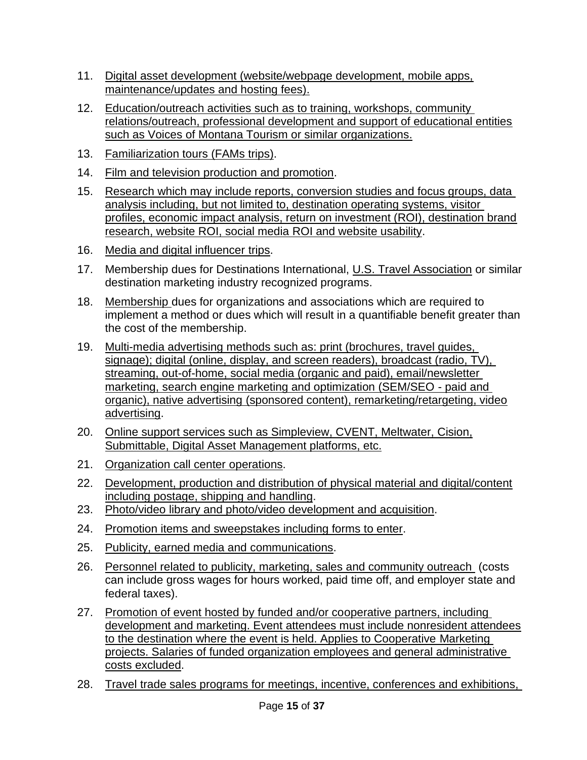- 11. Digital asset development (website/webpage development, mobile apps, maintenance/updates and hosting fees).
- 12. Education/outreach activities such as to training, workshops, community relations/outreach, professional development and support of educational entities such as Voices of Montana Tourism or similar organizations.
- 13. Familiarization tours (FAMs trips).
- 14. Film and television production and promotion.
- 15. Research which may include reports, conversion studies and focus groups, data analysis including, but not limited to, destination operating systems, visitor profiles, economic impact analysis, return on investment (ROI), destination brand research, website ROI, social media ROI and website usability.
- 16. Media and digital influencer trips.
- 17. Membership dues for Destinations International, U.S. Travel Association or similar destination marketing industry recognized programs.
- 18. Membership dues for organizations and associations which are required to implement a method or dues which will result in a quantifiable benefit greater than the cost of the membership.
- 19. Multi-media advertising methods such as: print (brochures, travel guides, signage); digital (online, display, and screen readers), broadcast (radio, TV), streaming, out-of-home, social media (organic and paid), email/newsletter marketing, search engine marketing and optimization (SEM/SEO - paid and organic), native advertising (sponsored content), remarketing/retargeting, video advertising.
- 20. Online support services such as Simpleview, CVENT, Meltwater, Cision, Submittable, Digital Asset Management platforms, etc.
- 21. Organization call center operations.
- 22. Development, production and distribution of physical material and digital/content including postage, shipping and handling.
- 23. Photo/video library and photo/video development and acquisition.
- 24. Promotion items and sweepstakes including forms to enter.
- 25. Publicity, earned media and communications.
- 26. Personnel related to publicity, marketing, sales and community outreach (costs can include gross wages for hours worked, paid time off, and employer state and federal taxes).
- 27. Promotion of event hosted by funded and/or cooperative partners, including development and marketing. Event attendees must include nonresident attendees to the destination where the event is held. Applies to Cooperative Marketing projects. Salaries of funded organization employees and general administrative costs excluded.
- 28. Travel trade sales programs for meetings, incentive, conferences and exhibitions,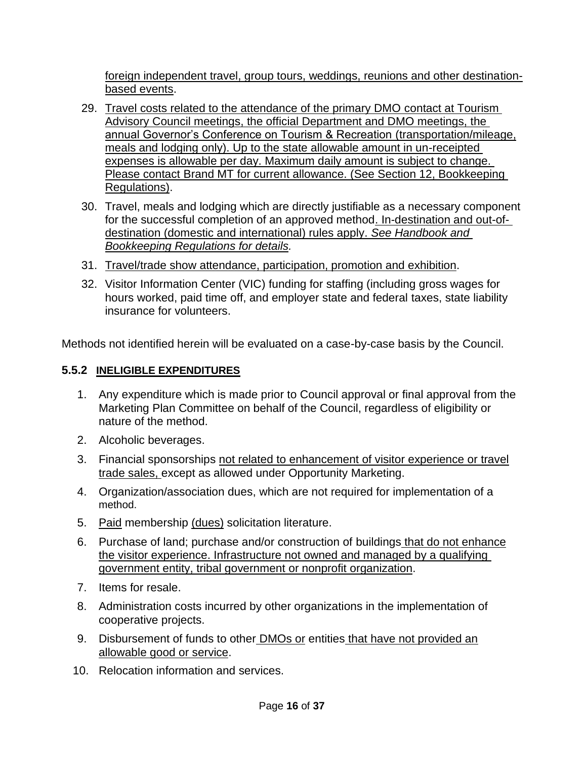foreign independent travel, group tours, weddings, reunions and other destinationbased events.

- 29. Travel costs related to the attendance of the primary DMO contact at Tourism Advisory Council meetings, the official Department and DMO meetings, the annual Governor's Conference on Tourism & Recreation (transportation/mileage, meals and lodging only). Up to the state allowable amount in un-receipted expenses is allowable per day. Maximum daily amount is subject to change. Please contact Brand MT for current allowance. (See Section 12, Bookkeeping Regulations).
- 30. Travel, meals and lodging which are directly justifiable as a necessary component for the successful completion of an approved method. In-destination and out-ofdestination (domestic and international) rules apply. *See Handbook and Bookkeeping Regulations for details.*
- 31. Travel/trade show attendance, participation, promotion and exhibition.
- 32. Visitor Information Center (VIC) funding for staffing (including gross wages for hours worked, paid time off, and employer state and federal taxes, state liability insurance for volunteers.

Methods not identified herein will be evaluated on a case-by-case basis by the Council.

### **5.5.2 INELIGIBLE EXPENDITURES**

- 1. Any expenditure which is made prior to Council approval or final approval from the Marketing Plan Committee on behalf of the Council, regardless of eligibility or nature of the method.
- 2. Alcoholic beverages.
- 3. Financial sponsorships not related to enhancement of visitor experience or travel trade sales, except as allowed under Opportunity Marketing.
- 4. Organization/association dues, which are not required for implementation of a method.
- 5. Paid membership (dues) solicitation literature.
- 6. Purchase of land; purchase and/or construction of buildings that do not enhance the visitor experience. Infrastructure not owned and managed by a qualifying government entity, tribal government or nonprofit organization.
- 7. Items for resale.
- 8. Administration costs incurred by other organizations in the implementation of cooperative projects.
- 9. Disbursement of funds to other **DMOs or entities that have not provided an** allowable good or service.
- 10. Relocation information and services.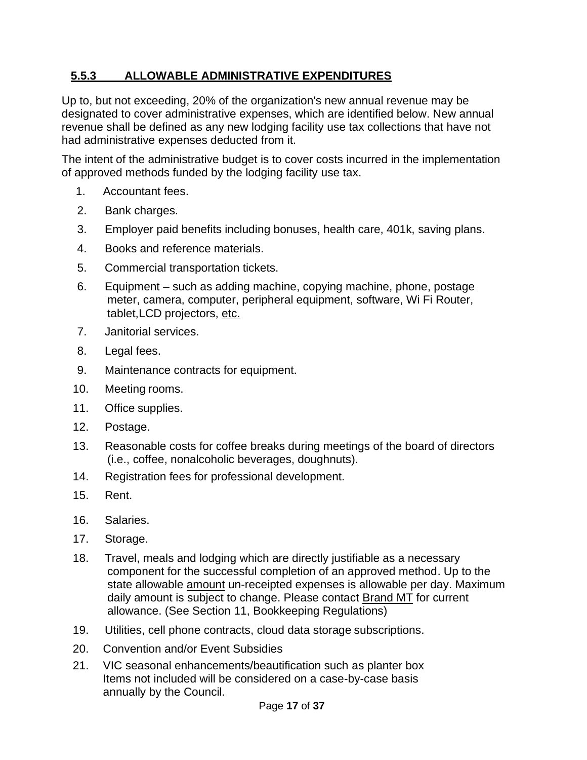### <span id="page-16-0"></span>**5.5.3 ALLOWABLE ADMINISTRATIVE EXPENDITURES**

Up to, but not exceeding, 20% of the organization's new annual revenue may be designated to cover administrative expenses, which are identified below. New annual revenue shall be defined as any new lodging facility use tax collections that have not had administrative expenses deducted from it.

The intent of the administrative budget is to cover costs incurred in the implementation of approved methods funded by the lodging facility use tax.

- 1. Accountant fees.
- 2. Bank charges.
- 3. Employer paid benefits including bonuses, health care, 401k, saving plans.
- 4. Books and reference materials.
- 5. Commercial transportation tickets.
- 6. Equipment such as adding machine, copying machine, phone, postage meter, camera, computer, peripheral equipment, software, Wi Fi Router, tablet,LCD projectors, etc.
- 7. Janitorial services.
- 8. Legal fees.
- 9. Maintenance contracts for equipment.
- 10. Meeting rooms.
- 11. Office supplies.
- 12. Postage.
- 13. Reasonable costs for coffee breaks during meetings of the board of directors (i.e., coffee, nonalcoholic beverages, doughnuts).
- 14. Registration fees for professional development.
- 15. Rent.
- 16. Salaries.
- 17. Storage.
- 18. Travel, meals and lodging which are directly justifiable as a necessary component for the successful completion of an approved method. Up to the state allowable amount un-receipted expenses is allowable per day. Maximum daily amount is subject to change. Please contact Brand MT for current allowance. (See Section 11, Bookkeeping Regulations)
- 19. Utilities, cell phone contracts, cloud data storage subscriptions.
- 20. Convention and/or Event Subsidies
- 21. VIC seasonal enhancements/beautification such as planter box Items not included will be considered on a case-by-case basis annually by the Council.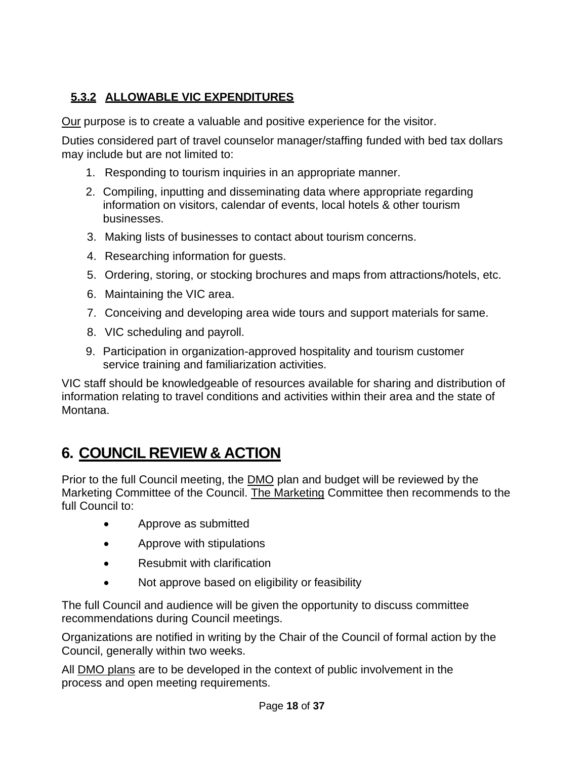### <span id="page-17-0"></span>**5.3.2 ALLOWABLE VIC EXPENDITURES**

Our purpose is to create a valuable and positive experience for the visitor.

Duties considered part of travel counselor manager/staffing funded with bed tax dollars may include but are not limited to:

- 1. Responding to tourism inquiries in an appropriate manner.
- 2. Compiling, inputting and disseminating data where appropriate regarding information on visitors, calendar of events, local hotels & other tourism businesses.
- 3. Making lists of businesses to contact about tourism concerns.
- 4. Researching information for guests.
- 5. Ordering, storing, or stocking brochures and maps from attractions/hotels, etc.
- 6. Maintaining the VIC area.
- 7. Conceiving and developing area wide tours and support materials for same.
- 8. VIC scheduling and payroll.
- 9. Participation in organization-approved hospitality and tourism customer service training and familiarization activities.

VIC staff should be knowledgeable of resources available for sharing and distribution of information relating to travel conditions and activities within their area and the state of Montana.

# <span id="page-17-1"></span>**6. COUNCIL REVIEW & ACTION**

Prior to the full Council meeting, the **DMO** plan and budget will be reviewed by the Marketing Committee of the Council. The Marketing Committee then recommends to the full Council to:

- Approve as submitted
- Approve with stipulations
- Resubmit with clarification
- Not approve based on eligibility or feasibility

The full Council and audience will be given the opportunity to discuss committee recommendations during Council meetings.

Organizations are notified in writing by the Chair of the Council of formal action by the Council, generally within two weeks.

All DMO plans are to be developed in the context of public involvement in the process and open meeting requirements.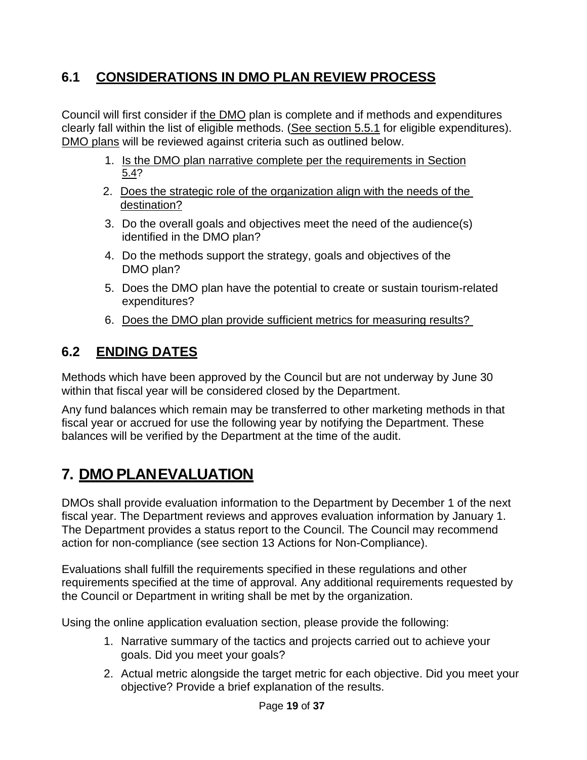### <span id="page-18-0"></span>**6.1 CONSIDERATIONS IN DMO PLAN REVIEW PROCESS**

Council will first consider if the DMO plan is complete and if methods and expenditures clearly fall within the list of eligible methods. (See section 5.5.1 for eligible expenditures). DMO plans will be reviewed against criteria such as outlined below.

- 1. Is the DMO plan narrative complete per the requirements in Section 5.4?
- 2. Does the strategic role of the organization align with the needs of the destination?
- 3. Do the overall goals and objectives meet the need of the audience(s) identified in the DMO plan?
- 4. Do the methods support the strategy, goals and objectives of the DMO plan?
- 5. Does the DMO plan have the potential to create or sustain tourism-related expenditures?
- 6. Does the DMO plan provide sufficient metrics for measuring results?

## <span id="page-18-1"></span>**6.2 ENDING DATES**

Methods which have been approved by the Council but are not underway by June 30 within that fiscal year will be considered closed by the Department.

Any fund balances which remain may be transferred to other marketing methods in that fiscal year or accrued for use the following year by notifying the Department. These balances will be verified by the Department at the time of the audit.

# <span id="page-18-2"></span>**7. DMO PLANEVALUATION**

DMOs shall provide evaluation information to the Department by December 1 of the next fiscal year. The Department reviews and approves evaluation information by January 1. The Department provides a status report to the Council. The Council may recommend action for non-compliance (see section 13 Actions for Non-Compliance).

Evaluations shall fulfill the requirements specified in these regulations and other requirements specified at the time of approval. Any additional requirements requested by the Council or Department in writing shall be met by the organization.

Using the online application evaluation section, please provide the following:

- 1. Narrative summary of the tactics and projects carried out to achieve your goals. Did you meet your goals?
- 2. Actual metric alongside the target metric for each objective. Did you meet your objective? Provide a brief explanation of the results.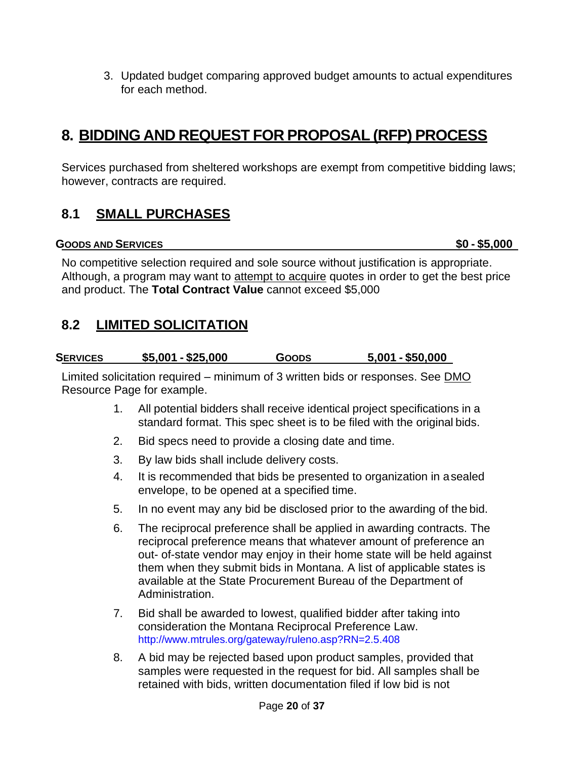3. Updated budget comparing approved budget amounts to actual expenditures for each method.

# <span id="page-19-0"></span>**8. BIDDING AND REQUEST FOR PROPOSAL (RFP) PROCESS**

Services purchased from sheltered workshops are exempt from competitive bidding laws; however, contracts are required.

### <span id="page-19-1"></span>**8.1 SMALL PURCHASES**

**GOODS AND SERVICES \$0 - \$5,000**

No competitive selection required and sole source without justification is appropriate. Although, a program may want to attempt to acquire quotes in order to get the best price and product. The **Total Contract Value** cannot exceed \$5,000

### <span id="page-19-2"></span>**8.2 LIMITED SOLICITATION**

| $$5,001 - $25,000$<br><b>SERVICES</b> | <b>GOODS</b> | $5,001 - $50,000$ |
|---------------------------------------|--------------|-------------------|
|---------------------------------------|--------------|-------------------|

Limited solicitation required – minimum of 3 written bids or responses. See DMO Resource Page for example.

- 1. All potential bidders shall receive identical project specifications in a standard format. This spec sheet is to be filed with the original bids.
- 2. Bid specs need to provide a closing date and time.
- 3. By law bids shall include delivery costs.
- 4. It is recommended that bids be presented to organization in asealed envelope, to be opened at a specified time.
- 5. In no event may any bid be disclosed prior to the awarding of the bid.
- 6. The reciprocal preference shall be applied in awarding contracts. The reciprocal preference means that whatever amount of preference an out- of-state vendor may enjoy in their home state will be held against them when they submit bids in Montana. A list of applicable states is available at the State Procurement Bureau of the Department of Administration.
- 7. Bid shall be awarded to lowest, qualified bidder after taking into consideration the Montana Reciprocal Preference Law. <http://www.mtrules.org/gateway/ruleno.asp?RN=2.5.408>
- 8. A bid may be rejected based upon product samples, provided that samples were requested in the request for bid. All samples shall be retained with bids, written documentation filed if low bid is not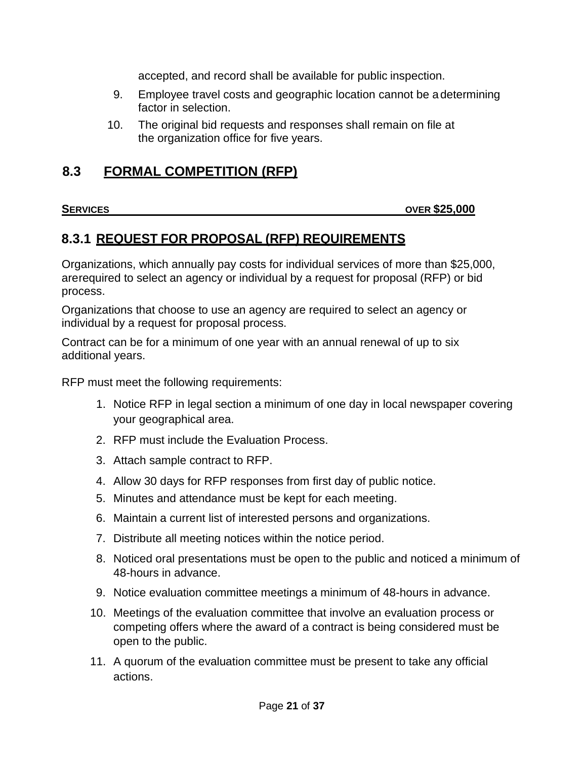accepted, and record shall be available for public inspection.

- 9. Employee travel costs and geographic location cannot be a determining factor in selection.
- 10. The original bid requests and responses shall remain on file at the organization office for five years.

### <span id="page-20-0"></span>**8.3 FORMAL COMPETITION (RFP)**

### **SERVICES OVER \$25,000**

### <span id="page-20-1"></span>**8.3.1 REQUEST FOR PROPOSAL (RFP) REQUIREMENTS**

Organizations, which annually pay costs for individual services of more than \$25,000, arerequired to select an agency or individual by a request for proposal (RFP) or bid process.

Organizations that choose to use an agency are required to select an agency or individual by a request for proposal process.

Contract can be for a minimum of one year with an annual renewal of up to six additional years.

RFP must meet the following requirements:

- 1. Notice RFP in legal section a minimum of one day in local newspaper covering your geographical area.
- 2. RFP must include the Evaluation Process.
- 3. Attach sample contract to RFP.
- 4. Allow 30 days for RFP responses from first day of public notice.
- 5. Minutes and attendance must be kept for each meeting.
- 6. Maintain a current list of interested persons and organizations.
- 7. Distribute all meeting notices within the notice period.
- 8. Noticed oral presentations must be open to the public and noticed a minimum of 48-hours in advance.
- 9. Notice evaluation committee meetings a minimum of 48-hours in advance.
- 10. Meetings of the evaluation committee that involve an evaluation process or competing offers where the award of a contract is being considered must be open to the public.
- 11. A quorum of the evaluation committee must be present to take any official actions.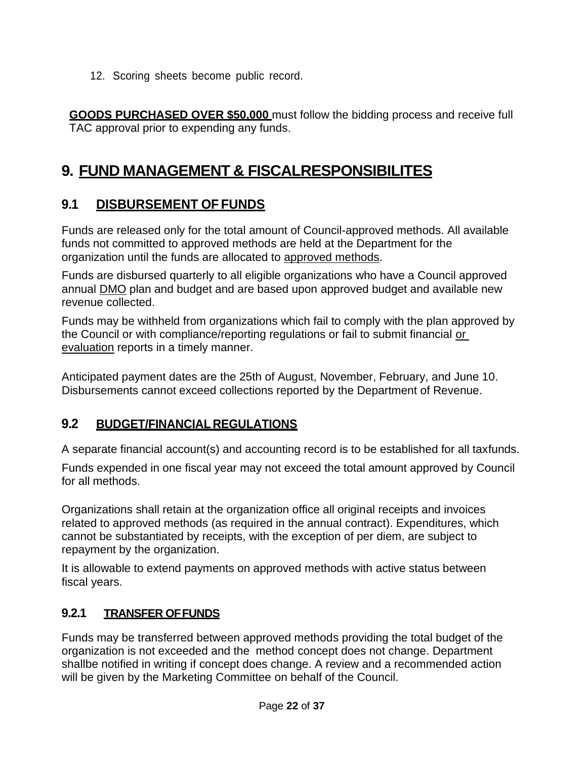12. Scoring sheets become public record.

**GOODS PURCHASED OVER \$50,000** must follow the bidding process and receive full TAC approval prior to expending any funds.

# <span id="page-21-0"></span>**9. FUND MANAGEMENT & FISCALRESPONSIBILITES**

### <span id="page-21-1"></span>**9.1 DISBURSEMENT OF FUNDS**

Funds are released only for the total amount of Council-approved methods. All available funds not committed to approved methods are held at the Department for the organization until the funds are allocated to approved methods.

Funds are disbursed quarterly to all eligible organizations who have a Council approved annual DMO plan and budget and are based upon approved budget and available new revenue collected.

Funds may be withheld from organizations which fail to comply with the plan approved by the Council or with compliance/reporting regulations or fail to submit financial or evaluation reports in a timely manner.

Anticipated payment dates are the 25th of August, November, February, and June 10. Disbursements cannot exceed collections reported by the Department of Revenue.

### **9.2 BUDGET/FINANCIAL REGULATIONS**

A separate financial account(s) and accounting record is to be established for all taxfunds.

Funds expended in one fiscal year may not exceed the total amount approved by Council for all methods.

Organizations shall retain at the organization office all original receipts and invoices related to approved methods (as required in the annual contract). Expenditures, which cannot be substantiated by receipts, with the exception of per diem, are subject to repayment by the organization.

It is allowable to extend payments on approved methods with active status between fiscal years.

### <span id="page-21-2"></span>**9.2.1 TRANSFER OFFUNDS**

Funds may be transferred between approved methods providing the total budget of the organization is not exceeded and the method concept does not change. Department shallbe notified in writing if concept does change. A review and a recommended action will be given by the Marketing Committee on behalf of the Council.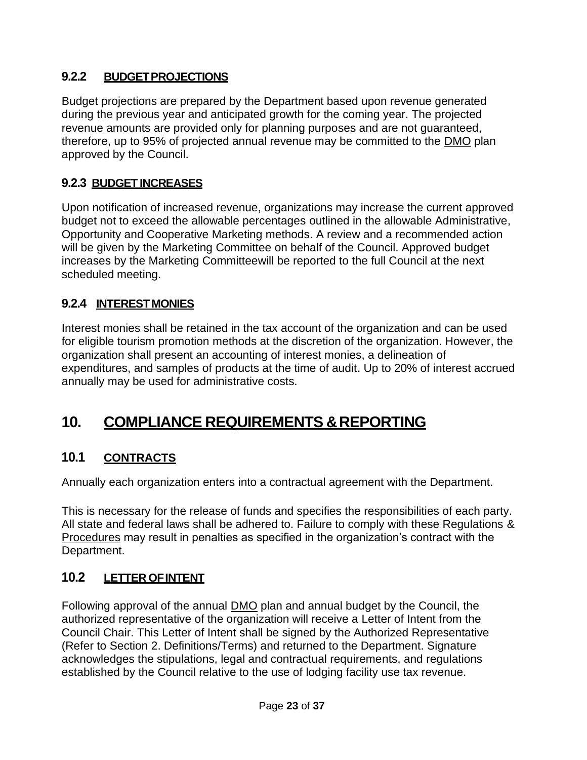### <span id="page-22-0"></span>**9.2.2 BUDGETPROJECTIONS**

Budget projections are prepared by the Department based upon revenue generated during the previous year and anticipated growth for the coming year. The projected revenue amounts are provided only for planning purposes and are not guaranteed, therefore, up to 95% of projected annual revenue may be committed to the DMO plan approved by the Council.

### <span id="page-22-1"></span>**9.2.3 BUDGET INCREASES**

Upon notification of increased revenue, organizations may increase the current approved budget not to exceed the allowable percentages outlined in the allowable Administrative, Opportunity and Cooperative Marketing methods. A review and a recommended action will be given by the Marketing Committee on behalf of the Council. Approved budget increases by the Marketing Committeewill be reported to the full Council at the next scheduled meeting.

### <span id="page-22-2"></span>**9.2.4 INTERESTMONIES**

Interest monies shall be retained in the tax account of the organization and can be used for eligible tourism promotion methods at the discretion of the organization. However, the organization shall present an accounting of interest monies, a delineation of expenditures, and samples of products at the time of audit. Up to 20% of interest accrued annually may be used for administrative costs.

# <span id="page-22-3"></span>**10. COMPLIANCE REQUIREMENTS &REPORTING**

### <span id="page-22-4"></span>**10.1 CONTRACTS**

Annually each organization enters into a contractual agreement with the Department.

This is necessary for the release of funds and specifies the responsibilities of each party. All state and federal laws shall be adhered to. Failure to comply with these Regulations & Procedures may result in penalties as specified in the organization's contract with the Department.

### <span id="page-22-5"></span>**10.2 LETTER OFINTENT**

Following approval of the annual DMO plan and annual budget by the Council, the authorized representative of the organization will receive a Letter of Intent from the Council Chair. This Letter of Intent shall be signed by the Authorized Representative (Refer to Section 2. Definitions/Terms) and returned to the Department. Signature acknowledges the stipulations, legal and contractual requirements, and regulations established by the Council relative to the use of lodging facility use tax revenue.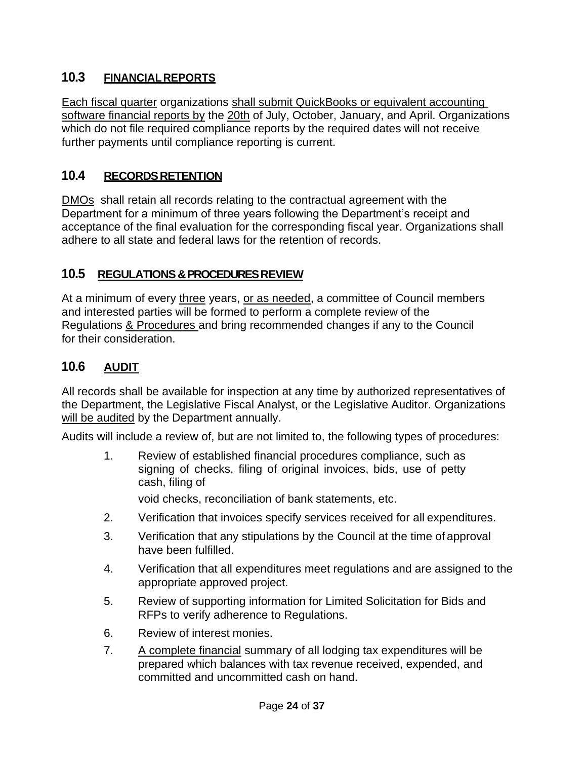### <span id="page-23-0"></span>**10.3 FINANCIALREPORTS**

Each fiscal quarter organizations shall submit QuickBooks or equivalent accounting software financial reports by the 20th of July, October, January, and April. Organizations which do not file required compliance reports by the required dates will not receive further payments until compliance reporting is current.

### <span id="page-23-1"></span>**10.4 RECORDSRETENTION**

DMOs shall retain all records relating to the contractual agreement with the Department for a minimum of three years following the Department's receipt and acceptance of the final evaluation for the corresponding fiscal year. Organizations shall adhere to all state and federal laws for the retention of records.

### <span id="page-23-2"></span>**10.5 REGULATIONS & PROCEDURES REVIEW**

At a minimum of every three years, or as needed, a committee of Council members and interested parties will be formed to perform a complete review of the Regulations & Procedures and bring recommended changes if any to the Council for their consideration.

### <span id="page-23-3"></span>**10.6 AUDIT**

All records shall be available for inspection at any time by authorized representatives of the Department, the Legislative Fiscal Analyst, or the Legislative Auditor. Organizations will be audited by the Department annually.

Audits will include a review of, but are not limited to, the following types of procedures:

1. Review of established financial procedures compliance, such as signing of checks, filing of original invoices, bids, use of petty cash, filing of

void checks, reconciliation of bank statements, etc.

- 2. Verification that invoices specify services received for all expenditures.
- 3. Verification that any stipulations by the Council at the time of approval have been fulfilled.
- 4. Verification that all expenditures meet regulations and are assigned to the appropriate approved project.
- 5. Review of supporting information for Limited Solicitation for Bids and RFPs to verify adherence to Regulations.
- 6. Review of interest monies.
- 7. A complete financial summary of all lodging tax expenditures will be prepared which balances with tax revenue received, expended, and committed and uncommitted cash on hand.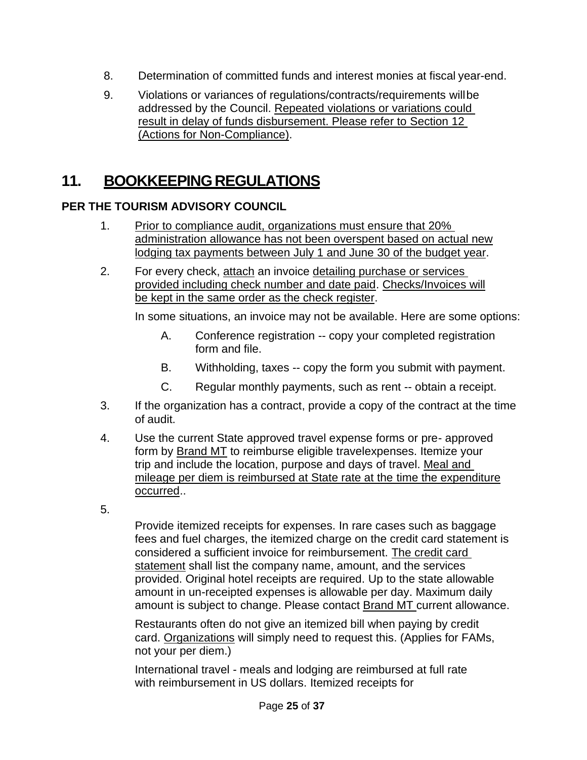- 8. Determination of committed funds and interest monies at fiscal year-end.
- 9. Violations or variances of regulations/contracts/requirements willbe addressed by the Council. Repeated violations or variations could result in delay of funds disbursement. Please refer to Section 12 (Actions for Non-Compliance).

# <span id="page-24-0"></span>**11. BOOKKEEPINGREGULATIONS**

### **PER THE TOURISM ADVISORY COUNCIL**

- 1. Prior to compliance audit, organizations must ensure that 20% administration allowance has not been overspent based on actual new lodging tax payments between July 1 and June 30 of the budget year.
- 2. For every check, attach an invoice detailing purchase or services provided including check number and date paid. Checks/Invoices will be kept in the same order as the check register.

In some situations, an invoice may not be available. Here are some options:

- A. Conference registration -- copy your completed registration form and file.
- B. Withholding, taxes -- copy the form you submit with payment.
- C. Regular monthly payments, such as rent -- obtain a receipt.
- 3. If the organization has a contract, provide a copy of the contract at the time of audit.
- 4. Use the current State approved travel expense forms or pre- approved form by Brand MT to reimburse eligible travelexpenses. Itemize your trip and include the location, purpose and days of travel. Meal and mileage per diem is reimbursed at State rate at the time the expenditure occurred..
- 5.

Provide itemized receipts for expenses. In rare cases such as baggage fees and fuel charges, the itemized charge on the credit card statement is considered a sufficient invoice for reimbursement. The credit card statement shall list the company name, amount, and the services provided. Original hotel receipts are required. Up to the state allowable amount in un-receipted expenses is allowable per day. Maximum daily amount is subject to change. Please contact Brand MT current allowance.

Restaurants often do not give an itemized bill when paying by credit card. Organizations will simply need to request this. (Applies for FAMs, not your per diem.)

International travel - meals and lodging are reimbursed at full rate with reimbursement in US dollars. Itemized receipts for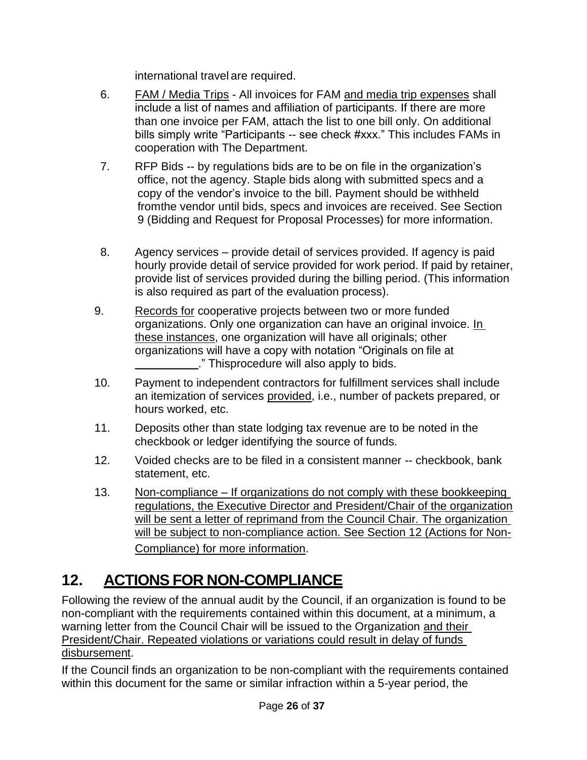international travel are required.

- 6. FAM / Media Trips All invoices for FAM and media trip expenses shall include a list of names and affiliation of participants. If there are more than one invoice per FAM, attach the list to one bill only. On additional bills simply write "Participants -- see check #xxx." This includes FAMs in cooperation with The Department.
- 7. RFP Bids -- by regulations bids are to be on file in the organization's office, not the agency. Staple bids along with submitted specs and a copy of the vendor's invoice to the bill. Payment should be withheld fromthe vendor until bids, specs and invoices are received. See Section 9 (Bidding and Request for Proposal Processes) for more information.
- 8. Agency services provide detail of services provided. If agency is paid hourly provide detail of service provided for work period. If paid by retainer, provide list of services provided during the billing period. (This information is also required as part of the evaluation process).
- 9. Records for cooperative projects between two or more funded organizations. Only one organization can have an original invoice. In these instances, one organization will have all originals; other organizations will have a copy with notation "Originals on file at ." Thisprocedure will also apply to bids.
- 10. Payment to independent contractors for fulfillment services shall include an itemization of services provided, i.e., number of packets prepared, or hours worked, etc.
- 11. Deposits other than state lodging tax revenue are to be noted in the checkbook or ledger identifying the source of funds.
- 12. Voided checks are to be filed in a consistent manner -- checkbook, bank statement, etc.
- 13. Non-compliance If organizations do not comply with these bookkeeping regulations, the Executive Director and President/Chair of the organization will be sent a letter of reprimand from the Council Chair. The organization will be subject to non-compliance action. See Section 12 (Actions for Non-Compliance) for more information.

# <span id="page-25-0"></span>**12. ACTIONS FOR NON-COMPLIANCE**

Following the review of the annual audit by the Council, if an organization is found to be non-compliant with the requirements contained within this document, at a minimum, a warning letter from the Council Chair will be issued to the Organization and their President/Chair. Repeated violations or variations could result in delay of funds disbursement.

If the Council finds an organization to be non-compliant with the requirements contained within this document for the same or similar infraction within a 5-year period, the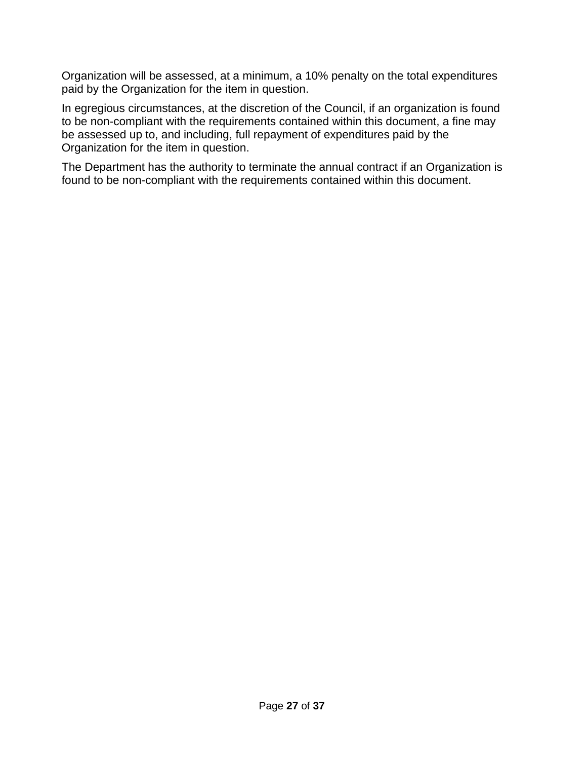Organization will be assessed, at a minimum, a 10% penalty on the total expenditures paid by the Organization for the item in question.

In egregious circumstances, at the discretion of the Council, if an organization is found to be non-compliant with the requirements contained within this document, a fine may be assessed up to, and including, full repayment of expenditures paid by the Organization for the item in question.

The Department has the authority to terminate the annual contract if an Organization is found to be non-compliant with the requirements contained within this document.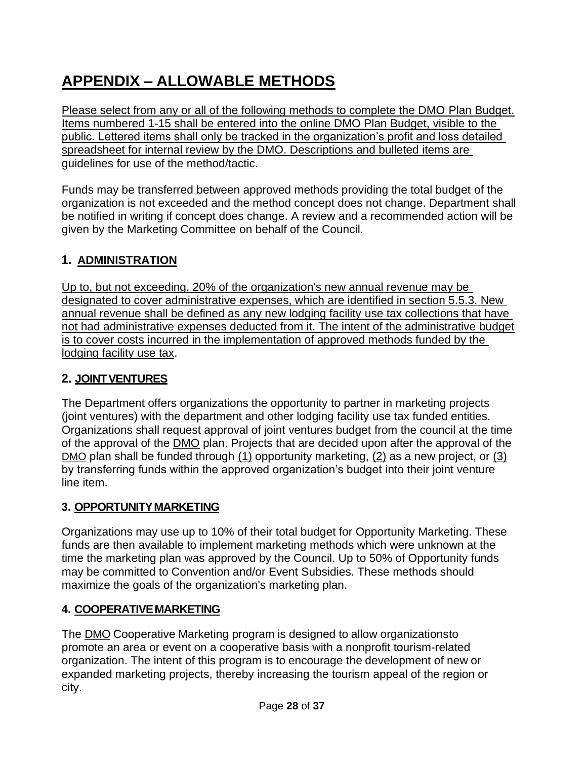# <span id="page-27-0"></span>**APPENDIX – ALLOWABLE METHODS**

Please select from any or all of the following methods to complete the DMO Plan Budget. Items numbered 1-15 shall be entered into the online DMO Plan Budget, visible to the public. Lettered items shall only be tracked in the organization's profit and loss detailed spreadsheet for internal review by the DMO. Descriptions and bulleted items are guidelines for use of the method/tactic.

Funds may be transferred between approved methods providing the total budget of the organization is not exceeded and the method concept does not change. Department shall be notified in writing if concept does change. A review and a recommended action will be given by the Marketing Committee on behalf of the Council.

### <span id="page-27-1"></span>**1. ADMINISTRATION**

Up to, but not exceeding, 20% of the organization's new annual revenue may be designated to cover administrative expenses, which are identified in section 5.5.3. New annual revenue shall be defined as any new lodging facility use tax collections that have not had administrative expenses deducted from it. The intent of the administrative budget is to cover costs incurred in the implementation of approved methods funded by the lodging facility use tax.

### <span id="page-27-2"></span>**2. JOINTVENTURES**

The Department offers organizations the opportunity to partner in marketing projects (joint ventures) with the department and other lodging facility use tax funded entities. Organizations shall request approval of joint ventures budget from the council at the time of the approval of the DMO plan. Projects that are decided upon after the approval of the DMO plan shall be funded through (1) opportunity marketing, (2) as a new project, or (3) by transferring funds within the approved organization's budget into their joint venture line item.

### <span id="page-27-3"></span>**3. OPPORTUNITYMARKETING**

Organizations may use up to 10% of their total budget for Opportunity Marketing. These funds are then available to implement marketing methods which were unknown at the time the marketing plan was approved by the Council. Up to 50% of Opportunity funds may be committed to Convention and/or Event Subsidies. These methods should maximize the goals of the organization's marketing plan.

### <span id="page-27-4"></span>**4. COOPERATIVEMARKETING**

The DMO Cooperative Marketing program is designed to allow organizationsto promote an area or event on a cooperative basis with a nonprofit tourism-related organization. The intent of this program is to encourage the development of new or expanded marketing projects, thereby increasing the tourism appeal of the region or city.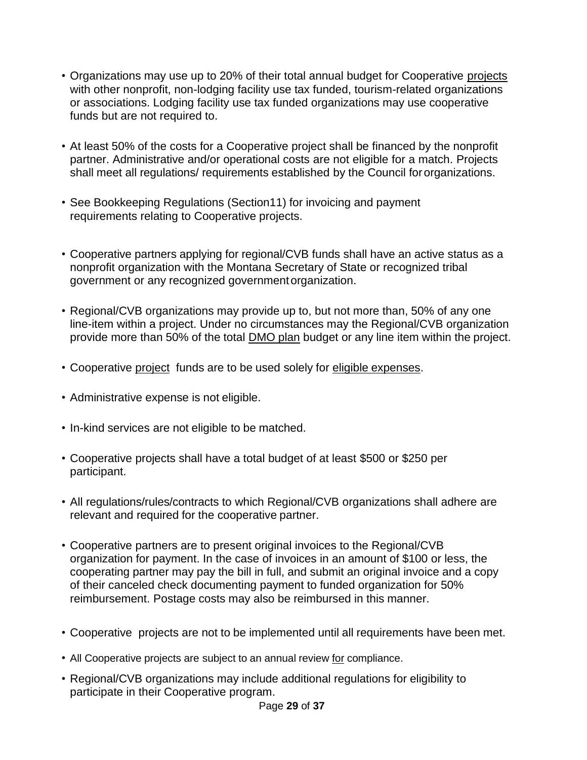- Organizations may use up to 20% of their total annual budget for Cooperative projects with other nonprofit, non-lodging facility use tax funded, tourism-related organizations or associations. Lodging facility use tax funded organizations may use cooperative funds but are not required to.
- At least 50% of the costs for a Cooperative project shall be financed by the nonprofit partner. Administrative and/or operational costs are not eligible for a match. Projects shall meet all regulations/ requirements established by the Council fororganizations.
- See Bookkeeping Regulations (Section11) for invoicing and payment requirements relating to Cooperative projects.
- Cooperative partners applying for regional/CVB funds shall have an active status as a nonprofit organization with the Montana Secretary of State or recognized tribal government or any recognized governmentorganization.
- Regional/CVB organizations may provide up to, but not more than, 50% of any one line-item within a project. Under no circumstances may the Regional/CVB organization provide more than 50% of the total DMO plan budget or any line item within the project.
- Cooperative project funds are to be used solely for eligible expenses.
- Administrative expense is not eligible.
- In-kind services are not eligible to be matched.
- Cooperative projects shall have a total budget of at least \$500 or \$250 per participant.
- All regulations/rules/contracts to which Regional/CVB organizations shall adhere are relevant and required for the cooperative partner.
- Cooperative partners are to present original invoices to the Regional/CVB organization for payment. In the case of invoices in an amount of \$100 or less, the cooperating partner may pay the bill in full, and submit an original invoice and a copy of their canceled check documenting payment to funded organization for 50% reimbursement. Postage costs may also be reimbursed in this manner.
- Cooperative projects are not to be implemented until all requirements have been met.
- All Cooperative projects are subject to an annual review for compliance.
- Regional/CVB organizations may include additional regulations for eligibility to participate in their Cooperative program.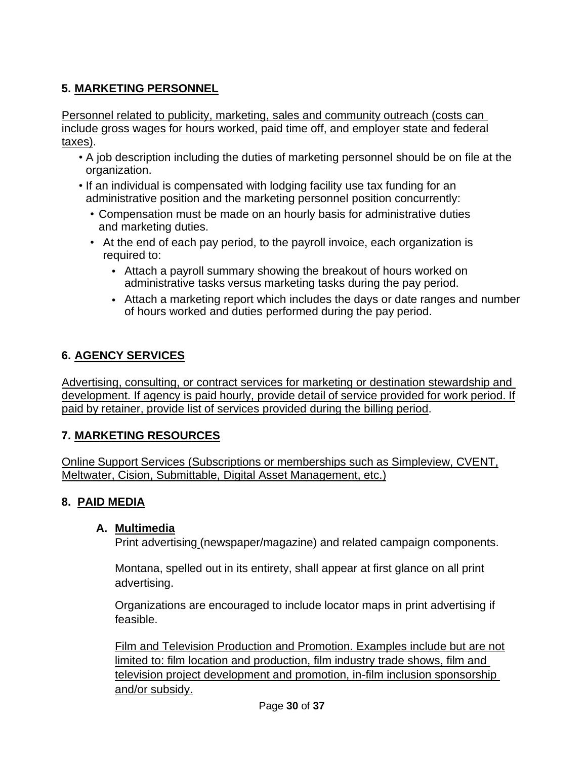### <span id="page-29-0"></span>**5. MARKETING PERSONNEL**

Personnel related to publicity, marketing, sales and community outreach (costs can include gross wages for hours worked, paid time off, and employer state and federal taxes).

- A job description including the duties of marketing personnel should be on file at the organization.
- If an individual is compensated with lodging facility use tax funding for an administrative position and the marketing personnel position concurrently:
	- Compensation must be made on an hourly basis for administrative duties and marketing duties.
	- At the end of each pay period, to the payroll invoice, each organization is required to:
		- Attach a payroll summary showing the breakout of hours worked on administrative tasks versus marketing tasks during the pay period.
		- Attach a marketing report which includes the days or date ranges and number of hours worked and duties performed during the pay period.

### <span id="page-29-1"></span>**6. AGENCY SERVICES**

Advertising, consulting, or contract services for marketing or destination stewardship and development. If agency is paid hourly, provide detail of service provided for work period. If paid by retainer, provide list of services provided during the billing period.

### <span id="page-29-2"></span>**7. MARKETING RESOURCES**

Online Support Services (Subscriptions or memberships such as Simpleview, CVENT, Meltwater, Cision, Submittable, Digital Asset Management, etc.)

### **8. PAID MEDIA**

### **A. Multimedia**

Print advertising (newspaper/magazine) and related campaign components.

Montana, spelled out in its entirety, shall appear at first glance on all print advertising.

Organizations are encouraged to include locator maps in print advertising if feasible.

Film and Television Production and Promotion. Examples include but are not limited to: film location and production, film industry trade shows, film and television project development and promotion, in-film inclusion sponsorship and/or subsidy.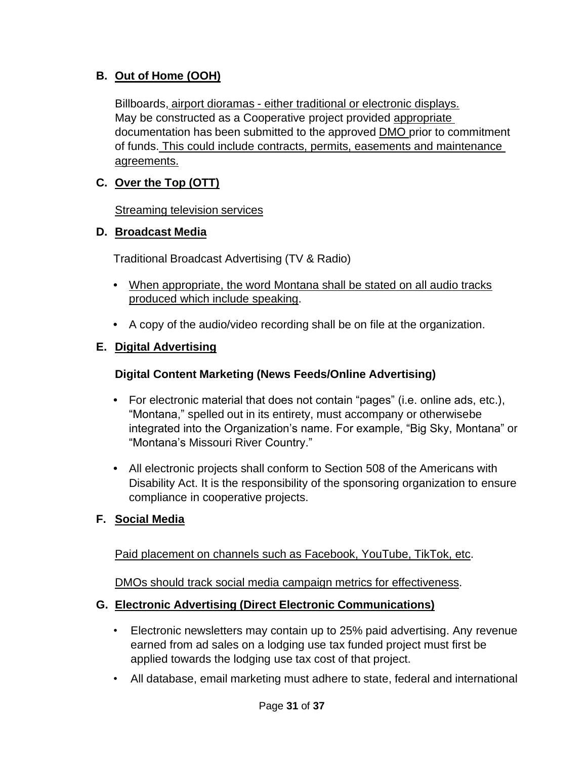### **B. Out of Home (OOH)**

Billboards, airport dioramas - either traditional or electronic displays. May be constructed as a Cooperative project provided appropriate documentation has been submitted to the approved DMO prior to commitment of funds. This could include contracts, permits, easements and maintenance agreements.

### **C. Over the Top (OTT)**

**Streaming television services** 

### **D. Broadcast Media**

Traditional Broadcast Advertising (TV & Radio)

- **•** When appropriate, the word Montana shall be stated on all audio tracks produced which include speaking.
- **•** A copy of the audio/video recording shall be on file at the organization.

### **E. Digital Advertising**

### **Digital Content Marketing (News Feeds/Online Advertising)**

- **•** For electronic material that does not contain "pages" (i.e. online ads, etc.), "Montana," spelled out in its entirety, must accompany or otherwisebe integrated into the Organization's name. For example, "Big Sky, Montana" or "Montana's Missouri River Country."
- **•** All electronic projects shall conform to Section 508 of the Americans with Disability Act. It is the responsibility of the sponsoring organization to ensure compliance in cooperative projects.

### **F. Social Media**

Paid placement on channels such as Facebook, YouTube, TikTok, etc.

DMOs should track social media campaign metrics for effectiveness.

### **G. Electronic Advertising (Direct Electronic Communications)**

- Electronic newsletters may contain up to 25% paid advertising. Any revenue earned from ad sales on a lodging use tax funded project must first be applied towards the lodging use tax cost of that project.
- All database, email marketing must adhere to state, federal and international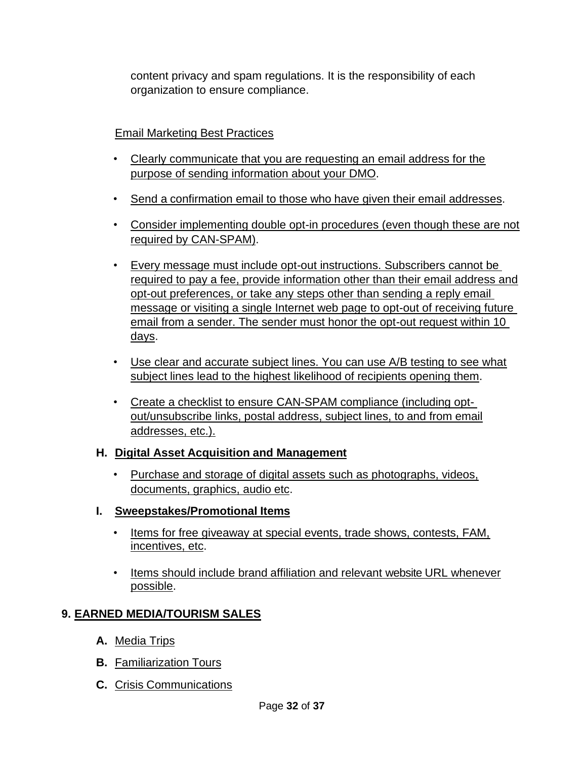content privacy and spam regulations. It is the responsibility of each organization to ensure compliance.

### Email Marketing Best Practices

- Clearly communicate that you are requesting an email address for the purpose of sending information about your DMO.
- Send a confirmation email to those who have given their email addresses.
- Consider implementing double opt-in procedures (even though these are not required by CAN-SPAM).
- Every message must include opt-out instructions. Subscribers cannot be required to pay a fee, provide information other than their email address and opt-out preferences, or take any steps other than sending a reply email message or visiting a single Internet web page to opt-out of receiving future email from a sender. The sender must honor the opt-out request within 10 days.
- Use clear and accurate subject lines. You can use A/B testing to see what subject lines lead to the highest likelihood of recipients opening them.
- Create a checklist to ensure CAN-SPAM compliance (including optout/unsubscribe links, postal address, subject lines, to and from email addresses, etc.).

### **H. Digital Asset Acquisition and Management**

• Purchase and storage of digital assets such as photographs, videos, documents, graphics, audio etc.

### **I. Sweepstakes/Promotional Items**

- Items for free giveaway at special events, trade shows, contests, FAM, incentives, etc.
- Items should include brand affiliation and relevant website URL whenever possible.

### <span id="page-31-0"></span>**9. EARNED MEDIA/TOURISM SALES**

- **A.** Media Trips
- **B.** Familiarization Tours
- **C.** Crisis Communications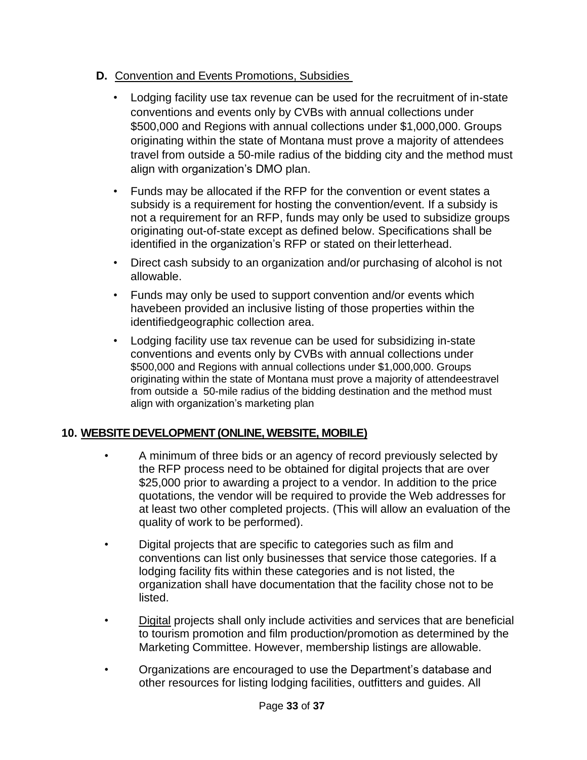- **D.** Convention and Events Promotions, Subsidies
	- Lodging facility use tax revenue can be used for the recruitment of in-state conventions and events only by CVBs with annual collections under \$500,000 and Regions with annual collections under \$1,000,000. Groups originating within the state of Montana must prove a majority of attendees travel from outside a 50-mile radius of the bidding city and the method must align with organization's DMO plan.
	- Funds may be allocated if the RFP for the convention or event states a subsidy is a requirement for hosting the convention/event. If a subsidy is not a requirement for an RFP, funds may only be used to subsidize groups originating out-of-state except as defined below. Specifications shall be identified in the organization's RFP or stated on theirletterhead.
	- Direct cash subsidy to an organization and/or purchasing of alcohol is not allowable.
	- Funds may only be used to support convention and/or events which havebeen provided an inclusive listing of those properties within the identifiedgeographic collection area.
	- Lodging facility use tax revenue can be used for subsidizing in-state conventions and events only by CVBs with annual collections under \$500,000 and Regions with annual collections under \$1,000,000. Groups originating within the state of Montana must prove a majority of attendeestravel from outside a 50-mile radius of the bidding destination and the method must align with organization's marketing plan

### <span id="page-32-0"></span>**10. WEBSITE DEVELOPMENT (ONLINE, WEBSITE, MOBILE)**

- A minimum of three bids or an agency of record previously selected by the RFP process need to be obtained for digital projects that are over \$25,000 prior to awarding a project to a vendor. In addition to the price quotations, the vendor will be required to provide the Web addresses for at least two other completed projects. (This will allow an evaluation of the quality of work to be performed).
- Digital projects that are specific to categories such as film and conventions can list only businesses that service those categories. If a lodging facility fits within these categories and is not listed, the organization shall have documentation that the facility chose not to be listed.
- Digital projects shall only include activities and services that are beneficial to tourism promotion and film production/promotion as determined by the Marketing Committee. However, membership listings are allowable.
- Organizations are encouraged to use the Department's database and other resources for listing lodging facilities, outfitters and guides. All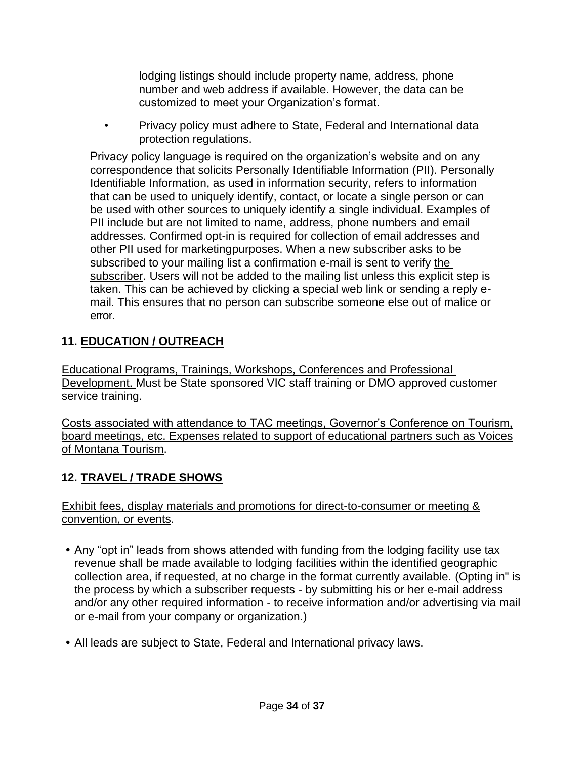lodging listings should include property name, address, phone number and web address if available. However, the data can be customized to meet your Organization's format.

• Privacy policy must adhere to State, Federal and International data protection regulations.

Privacy policy language is required on the organization's website and on any correspondence that solicits Personally Identifiable Information (PII). Personally Identifiable Information, as used in information security, refers to information that can be used to uniquely identify, contact, or locate a single person or can be used with other sources to uniquely identify a single individual. Examples of PII include but are not limited to name, address, phone numbers and email addresses. Confirmed opt-in is required for collection of email addresses and other PII used for marketingpurposes. When a new subscriber asks to be subscribed to your mailing list a confirmation e-mail is sent to verify the subscriber. Users will not be added to the mailing list unless this explicit step is taken. This can be achieved by clicking a special web link or sending a reply email. This ensures that no person can subscribe someone else out of malice or error.

### <span id="page-33-0"></span>**11. EDUCATION / OUTREACH**

Educational Programs, Trainings, Workshops, Conferences and Professional Development. Must be State sponsored VIC staff training or DMO approved customer service training.

Costs associated with attendance to TAC meetings, Governor's Conference on Tourism, board meetings, etc. Expenses related to support of educational partners such as Voices of Montana Tourism.

### <span id="page-33-1"></span>**12. TRAVEL / TRADE SHOWS**

Exhibit fees, display materials and promotions for direct-to-consumer or meeting & convention, or events.

- **•** Any "opt in" leads from shows attended with funding from the lodging facility use tax revenue shall be made available to lodging facilities within the identified geographic collection area, if requested, at no charge in the format currently available. (Opting in" is the process by which a subscriber requests - by submitting his or her e-mail address and/or any other required information - to receive information and/or advertising via mail or e-mail from your company or organization.)
- **•** All leads are subject to State, Federal and International privacy laws.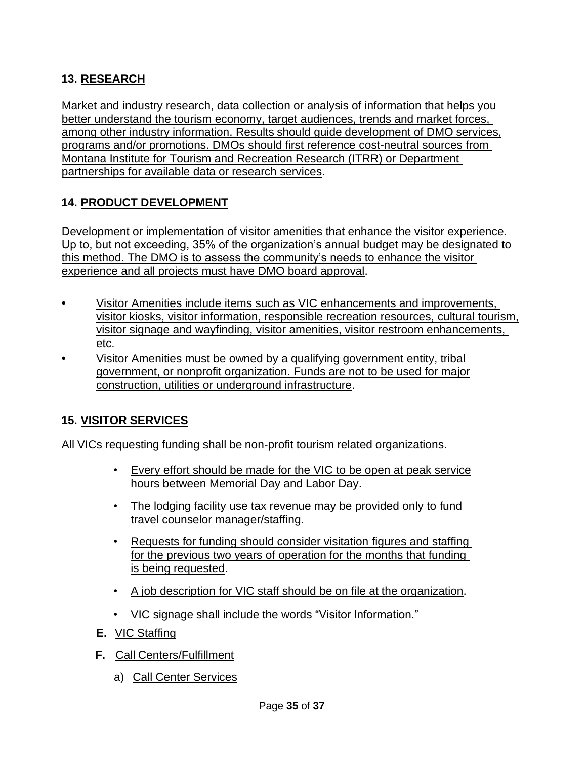### <span id="page-34-0"></span>**13. RESEARCH**

Market and industry research, data collection or analysis of information that helps you better understand the tourism economy, target audiences, trends and market forces, among other industry information. Results should guide development of DMO services, programs and/or promotions. DMOs should first reference cost-neutral sources from Montana Institute for Tourism and Recreation Research (ITRR) or Department partnerships for available data or research services.

### <span id="page-34-1"></span>**14. PRODUCT DEVELOPMENT**

Development or implementation of visitor amenities that enhance the visitor experience. Up to, but not exceeding, 35% of the organization's annual budget may be designated to this method. The DMO is to assess the community's needs to enhance the visitor experience and all projects must have DMO board approval.

- **•** Visitor Amenities include items such as VIC enhancements and improvements, visitor kiosks, visitor information, responsible recreation resources, cultural tourism, visitor signage and wayfinding, visitor amenities, visitor restroom enhancements, etc.
- **•** Visitor Amenities must be owned by a qualifying government entity, tribal government, or nonprofit organization. Funds are not to be used for major construction, utilities or underground infrastructure.

### <span id="page-34-2"></span>**15. VISITOR SERVICES**

All VICs requesting funding shall be non-profit tourism related organizations.

- Every effort should be made for the VIC to be open at peak service hours between Memorial Day and Labor Day.
- The lodging facility use tax revenue may be provided only to fund travel counselor manager/staffing.
- Requests for funding should consider visitation figures and staffing for the previous two years of operation for the months that funding is being requested.
- A job description for VIC staff should be on file at the organization.
- VIC signage shall include the words "Visitor Information."
- **E.** VIC Staffing
- **F.** Call Centers/Fulfillment
	- a) Call Center Services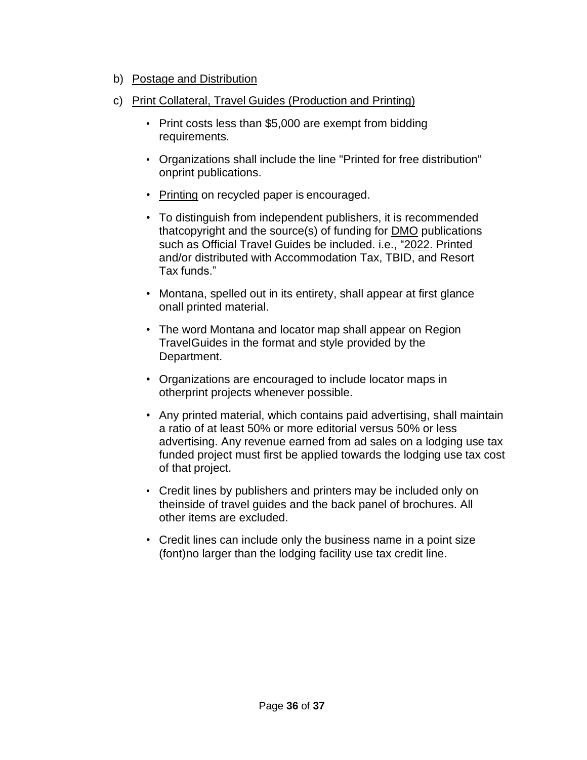- b) Postage and Distribution
- c) Print Collateral, Travel Guides (Production and Printing)
	- Print costs less than \$5,000 are exempt from bidding requirements.
	- Organizations shall include the line "Printed for free distribution" onprint publications.
	- Printing on recycled paper is encouraged.
	- To distinguish from independent publishers, it is recommended thatcopyright and the source(s) of funding for DMO publications such as Official Travel Guides be included. i.e., "2022. Printed and/or distributed with Accommodation Tax, TBID, and Resort Tax funds."
	- Montana, spelled out in its entirety, shall appear at first glance onall printed material.
	- The word Montana and locator map shall appear on Region TravelGuides in the format and style provided by the Department.
	- Organizations are encouraged to include locator maps in otherprint projects whenever possible.
	- Any printed material, which contains paid advertising, shall maintain a ratio of at least 50% or more editorial versus 50% or less advertising. Any revenue earned from ad sales on a lodging use tax funded project must first be applied towards the lodging use tax cost of that project.
	- Credit lines by publishers and printers may be included only on theinside of travel guides and the back panel of brochures. All other items are excluded.
	- Credit lines can include only the business name in a point size (font)no larger than the lodging facility use tax credit line.